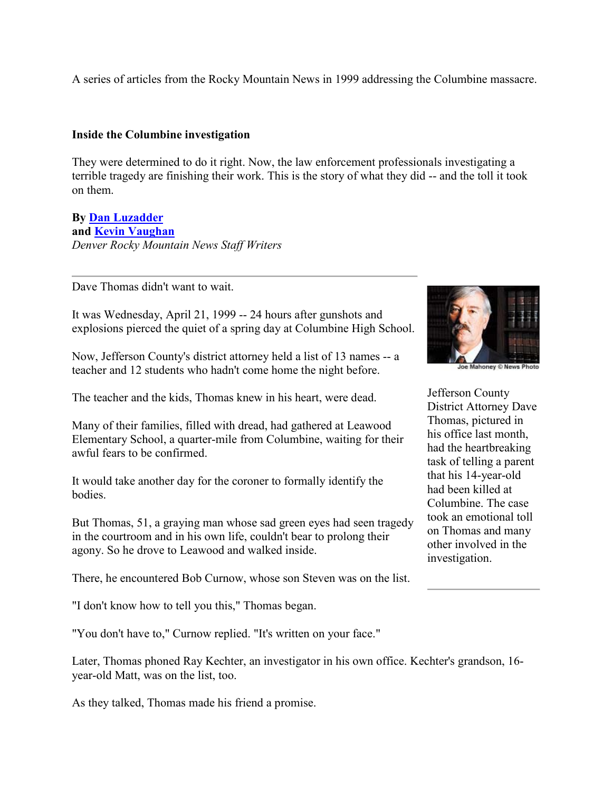A series of articles from the Rocky Mountain News in 1999 addressing the Columbine massacre.

#### **Inside the Columbine investigation**

They were determined to do it right. Now, the law enforcement professionals investigating a terrible tragedy are finishing their work. This is the story of what they did -- and the toll it took on them.

#### **By [Dan Luzadder](mailto:luzadderd@rockymountainnews.com) and [Kevin Vaughan](mailto:vaughank@rockymountainnews.com)** *Denver Rocky Mountain News Staff Writers*

Dave Thomas didn't want to wait.

It was Wednesday, April 21, 1999 -- 24 hours after gunshots and explosions pierced the quiet of a spring day at Columbine High School.

Now, Jefferson County's district attorney held a list of 13 names -- a teacher and 12 students who hadn't come home the night before.

The teacher and the kids, Thomas knew in his heart, were dead.

Many of their families, filled with dread, had gathered at Leawood Elementary School, a quarter-mile from Columbine, waiting for their awful fears to be confirmed.

It would take another day for the coroner to formally identify the bodies.

But Thomas, 51, a graying man whose sad green eyes had seen tragedy in the courtroom and in his own life, couldn't bear to prolong their agony. So he drove to Leawood and walked inside.

There, he encountered Bob Curnow, whose son Steven was on the list.

"I don't know how to tell you this," Thomas began.

"You don't have to," Curnow replied. "It's written on your face."

Later, Thomas phoned Ray Kechter, an investigator in his own office. Kechter's grandson, 16 year-old Matt, was on the list, too.

As they talked, Thomas made his friend a promise.



Joe Mahoney @ News Photo

Jefferson County District Attorney Dave Thomas, pictured in his office last month, had the heartbreaking task of telling a parent that his 14-year-old had been killed at Columbine. The case took an emotional toll on Thomas and many other involved in the investigation.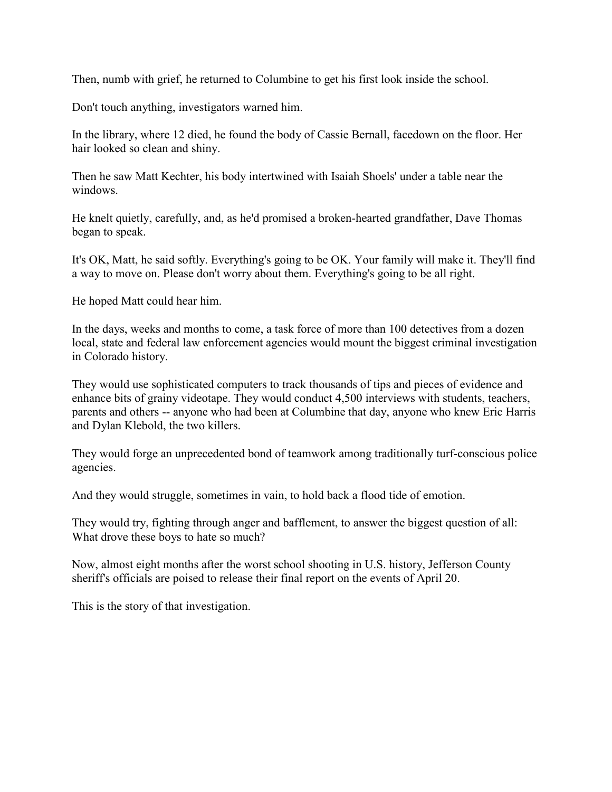Then, numb with grief, he returned to Columbine to get his first look inside the school.

Don't touch anything, investigators warned him.

In the library, where 12 died, he found the body of Cassie Bernall, facedown on the floor. Her hair looked so clean and shiny.

Then he saw Matt Kechter, his body intertwined with Isaiah Shoels' under a table near the windows.

He knelt quietly, carefully, and, as he'd promised a broken-hearted grandfather, Dave Thomas began to speak.

It's OK, Matt, he said softly. Everything's going to be OK. Your family will make it. They'll find a way to move on. Please don't worry about them. Everything's going to be all right.

He hoped Matt could hear him.

In the days, weeks and months to come, a task force of more than 100 detectives from a dozen local, state and federal law enforcement agencies would mount the biggest criminal investigation in Colorado history.

They would use sophisticated computers to track thousands of tips and pieces of evidence and enhance bits of grainy videotape. They would conduct 4,500 interviews with students, teachers, parents and others -- anyone who had been at Columbine that day, anyone who knew Eric Harris and Dylan Klebold, the two killers.

They would forge an unprecedented bond of teamwork among traditionally turf-conscious police agencies.

And they would struggle, sometimes in vain, to hold back a flood tide of emotion.

They would try, fighting through anger and bafflement, to answer the biggest question of all: What drove these boys to hate so much?

Now, almost eight months after the worst school shooting in U.S. history, Jefferson County sheriff's officials are poised to release their final report on the events of April 20.

This is the story of that investigation.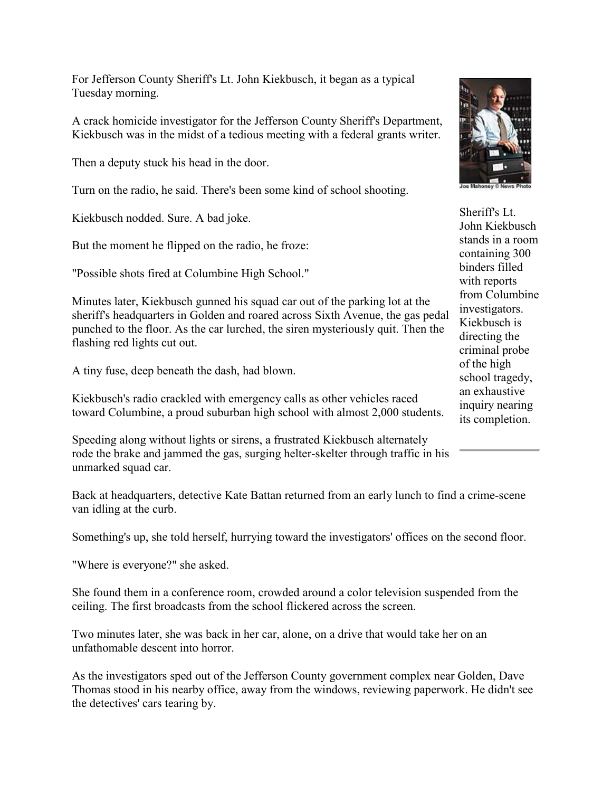For Jefferson County Sheriff's Lt. John Kiekbusch, it began as a typical Tuesday morning.

A crack homicide investigator for the Jefferson County Sheriff's Department, Kiekbusch was in the midst of a tedious meeting with a federal grants writer.

Then a deputy stuck his head in the door.

Turn on the radio, he said. There's been some kind of school shooting.

Kiekbusch nodded. Sure. A bad joke.

But the moment he flipped on the radio, he froze:

"Possible shots fired at Columbine High School."

Minutes later, Kiekbusch gunned his squad car out of the parking lot at the sheriff's headquarters in Golden and roared across Sixth Avenue, the gas pedal punched to the floor. As the car lurched, the siren mysteriously quit. Then the flashing red lights cut out.

A tiny fuse, deep beneath the dash, had blown.

Kiekbusch's radio crackled with emergency calls as other vehicles raced toward Columbine, a proud suburban high school with almost 2,000 students.

Speeding along without lights or sirens, a frustrated Kiekbusch alternately rode the brake and jammed the gas, surging helter-skelter through traffic in his unmarked squad car.

Back at headquarters, detective Kate Battan returned from an early lunch to find a crime-scene van idling at the curb.

Something's up, she told herself, hurrying toward the investigators' offices on the second floor.

"Where is everyone?" she asked.

She found them in a conference room, crowded around a color television suspended from the ceiling. The first broadcasts from the school flickered across the screen.

Two minutes later, she was back in her car, alone, on a drive that would take her on an unfathomable descent into horror.

As the investigators sped out of the Jefferson County government complex near Golden, Dave Thomas stood in his nearby office, away from the windows, reviewing paperwork. He didn't see the detectives' cars tearing by.



Sheriff's Lt. John Kiekbusch stands in a room containing 300 binders filled with reports from Columbine investigators. Kiekbusch is directing the criminal probe of the high school tragedy, an exhaustive inquiry nearing its completion.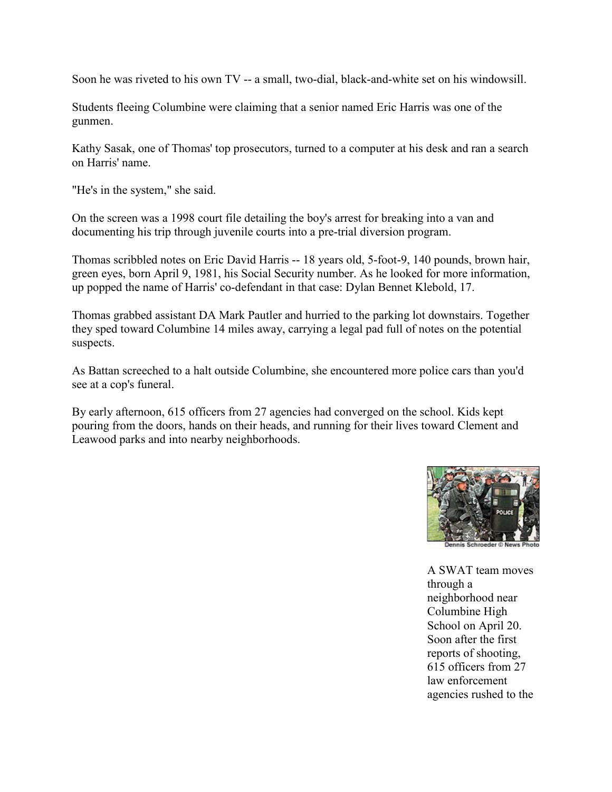Soon he was riveted to his own TV -- a small, two-dial, black-and-white set on his windowsill.

Students fleeing Columbine were claiming that a senior named Eric Harris was one of the gunmen.

Kathy Sasak, one of Thomas' top prosecutors, turned to a computer at his desk and ran a search on Harris' name.

"He's in the system," she said.

On the screen was a 1998 court file detailing the boy's arrest for breaking into a van and documenting his trip through juvenile courts into a pre-trial diversion program.

Thomas scribbled notes on Eric David Harris -- 18 years old, 5-foot-9, 140 pounds, brown hair, green eyes, born April 9, 1981, his Social Security number. As he looked for more information, up popped the name of Harris' co-defendant in that case: Dylan Bennet Klebold, 17.

Thomas grabbed assistant DA Mark Pautler and hurried to the parking lot downstairs. Together they sped toward Columbine 14 miles away, carrying a legal pad full of notes on the potential suspects.

As Battan screeched to a halt outside Columbine, she encountered more police cars than you'd see at a cop's funeral.

By early afternoon, 615 officers from 27 agencies had converged on the school. Kids kept pouring from the doors, hands on their heads, and running for their lives toward Clement and Leawood parks and into nearby neighborhoods.



A SWAT team moves through a neighborhood near Columbine High School on April 20. Soon after the first reports of shooting, 615 officers from 27 law enforcement agencies rushed to the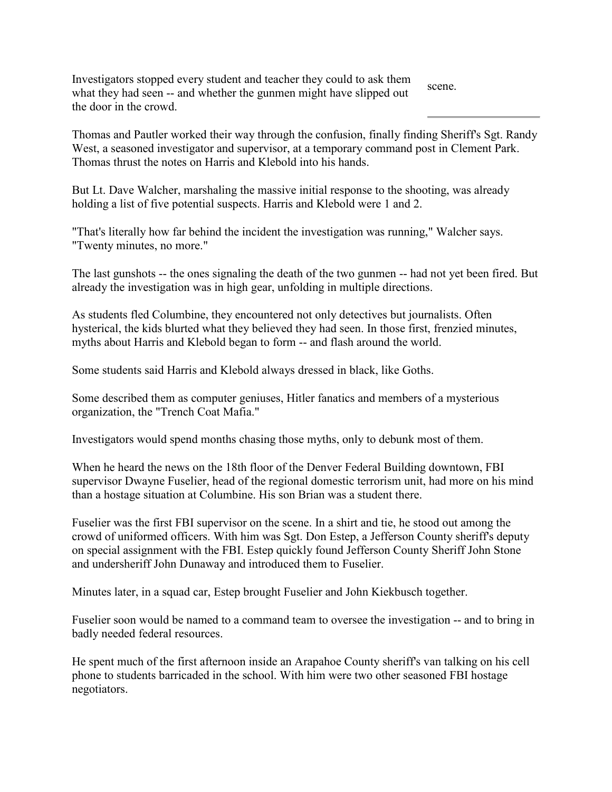Investigators stopped every student and teacher they could to ask them what they had seen -- and whether the gunmen might have slipped out the door in the crowd. scene.

Thomas and Pautler worked their way through the confusion, finally finding Sheriff's Sgt. Randy West, a seasoned investigator and supervisor, at a temporary command post in Clement Park. Thomas thrust the notes on Harris and Klebold into his hands.

But Lt. Dave Walcher, marshaling the massive initial response to the shooting, was already holding a list of five potential suspects. Harris and Klebold were 1 and 2.

"That's literally how far behind the incident the investigation was running," Walcher says. "Twenty minutes, no more."

The last gunshots -- the ones signaling the death of the two gunmen -- had not yet been fired. But already the investigation was in high gear, unfolding in multiple directions.

As students fled Columbine, they encountered not only detectives but journalists. Often hysterical, the kids blurted what they believed they had seen. In those first, frenzied minutes, myths about Harris and Klebold began to form -- and flash around the world.

Some students said Harris and Klebold always dressed in black, like Goths.

Some described them as computer geniuses, Hitler fanatics and members of a mysterious organization, the "Trench Coat Mafia."

Investigators would spend months chasing those myths, only to debunk most of them.

When he heard the news on the 18th floor of the Denver Federal Building downtown, FBI supervisor Dwayne Fuselier, head of the regional domestic terrorism unit, had more on his mind than a hostage situation at Columbine. His son Brian was a student there.

Fuselier was the first FBI supervisor on the scene. In a shirt and tie, he stood out among the crowd of uniformed officers. With him was Sgt. Don Estep, a Jefferson County sheriff's deputy on special assignment with the FBI. Estep quickly found Jefferson County Sheriff John Stone and undersheriff John Dunaway and introduced them to Fuselier.

Minutes later, in a squad car, Estep brought Fuselier and John Kiekbusch together.

Fuselier soon would be named to a command team to oversee the investigation -- and to bring in badly needed federal resources.

He spent much of the first afternoon inside an Arapahoe County sheriff's van talking on his cell phone to students barricaded in the school. With him were two other seasoned FBI hostage negotiators.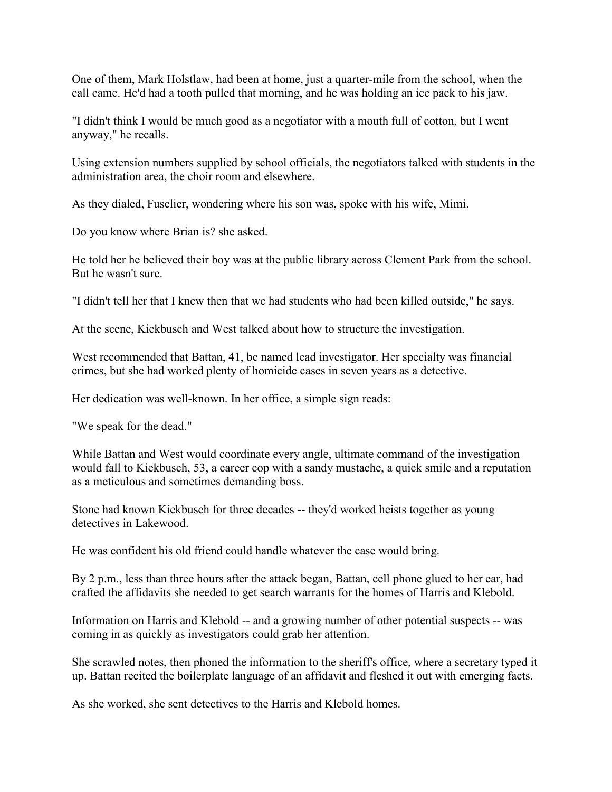One of them, Mark Holstlaw, had been at home, just a quarter-mile from the school, when the call came. He'd had a tooth pulled that morning, and he was holding an ice pack to his jaw.

"I didn't think I would be much good as a negotiator with a mouth full of cotton, but I went anyway," he recalls.

Using extension numbers supplied by school officials, the negotiators talked with students in the administration area, the choir room and elsewhere.

As they dialed, Fuselier, wondering where his son was, spoke with his wife, Mimi.

Do you know where Brian is? she asked.

He told her he believed their boy was at the public library across Clement Park from the school. But he wasn't sure.

"I didn't tell her that I knew then that we had students who had been killed outside," he says.

At the scene, Kiekbusch and West talked about how to structure the investigation.

West recommended that Battan, 41, be named lead investigator. Her specialty was financial crimes, but she had worked plenty of homicide cases in seven years as a detective.

Her dedication was well-known. In her office, a simple sign reads:

"We speak for the dead."

While Battan and West would coordinate every angle, ultimate command of the investigation would fall to Kiekbusch, 53, a career cop with a sandy mustache, a quick smile and a reputation as a meticulous and sometimes demanding boss.

Stone had known Kiekbusch for three decades -- they'd worked heists together as young detectives in Lakewood.

He was confident his old friend could handle whatever the case would bring.

By 2 p.m., less than three hours after the attack began, Battan, cell phone glued to her ear, had crafted the affidavits she needed to get search warrants for the homes of Harris and Klebold.

Information on Harris and Klebold -- and a growing number of other potential suspects -- was coming in as quickly as investigators could grab her attention.

She scrawled notes, then phoned the information to the sheriff's office, where a secretary typed it up. Battan recited the boilerplate language of an affidavit and fleshed it out with emerging facts.

As she worked, she sent detectives to the Harris and Klebold homes.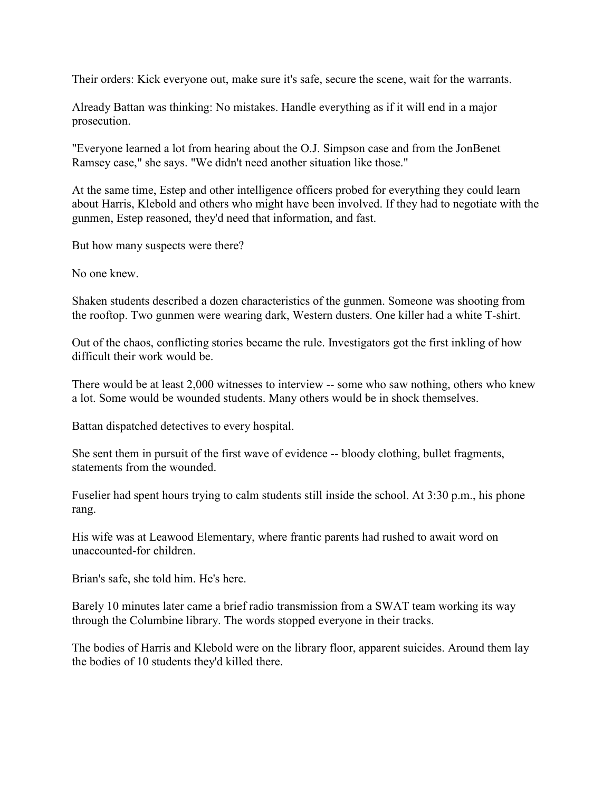Their orders: Kick everyone out, make sure it's safe, secure the scene, wait for the warrants.

Already Battan was thinking: No mistakes. Handle everything as if it will end in a major prosecution.

"Everyone learned a lot from hearing about the O.J. Simpson case and from the JonBenet Ramsey case," she says. "We didn't need another situation like those."

At the same time, Estep and other intelligence officers probed for everything they could learn about Harris, Klebold and others who might have been involved. If they had to negotiate with the gunmen, Estep reasoned, they'd need that information, and fast.

But how many suspects were there?

No one knew.

Shaken students described a dozen characteristics of the gunmen. Someone was shooting from the rooftop. Two gunmen were wearing dark, Western dusters. One killer had a white T-shirt.

Out of the chaos, conflicting stories became the rule. Investigators got the first inkling of how difficult their work would be.

There would be at least 2,000 witnesses to interview -- some who saw nothing, others who knew a lot. Some would be wounded students. Many others would be in shock themselves.

Battan dispatched detectives to every hospital.

She sent them in pursuit of the first wave of evidence -- bloody clothing, bullet fragments, statements from the wounded.

Fuselier had spent hours trying to calm students still inside the school. At 3:30 p.m., his phone rang.

His wife was at Leawood Elementary, where frantic parents had rushed to await word on unaccounted-for children.

Brian's safe, she told him. He's here.

Barely 10 minutes later came a brief radio transmission from a SWAT team working its way through the Columbine library. The words stopped everyone in their tracks.

The bodies of Harris and Klebold were on the library floor, apparent suicides. Around them lay the bodies of 10 students they'd killed there.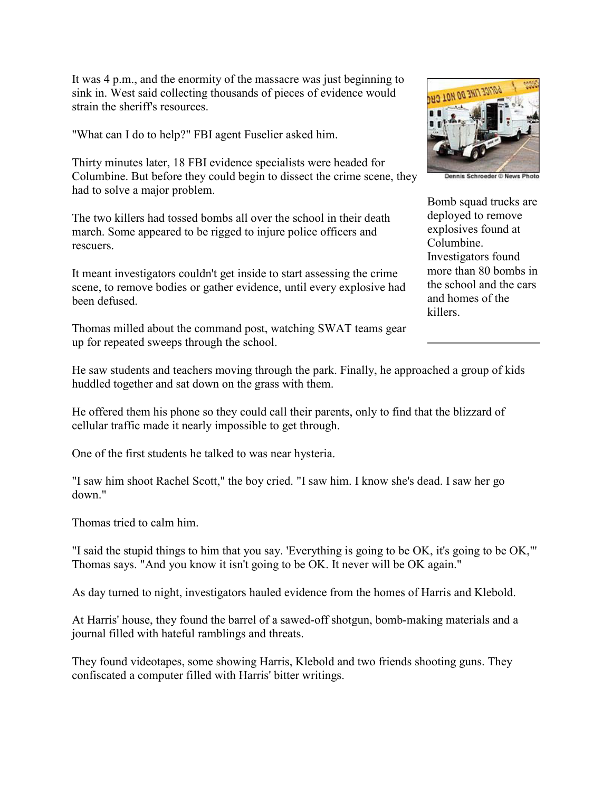It was 4 p.m., and the enormity of the massacre was just beginning to sink in. West said collecting thousands of pieces of evidence would strain the sheriff's resources.

"What can I do to help?" FBI agent Fuselier asked him.

Thirty minutes later, 18 FBI evidence specialists were headed for Columbine. But before they could begin to dissect the crime scene, they had to solve a major problem.

The two killers had tossed bombs all over the school in their death march. Some appeared to be rigged to injure police officers and rescuers.

It meant investigators couldn't get inside to start assessing the crime scene, to remove bodies or gather evidence, until every explosive had been defused.

Thomas milled about the command post, watching SWAT teams gear up for repeated sweeps through the school.



Bomb squad trucks are deployed to remove explosives found at Columbine. Investigators found more than 80 bombs in the school and the cars and homes of the killers.

He saw students and teachers moving through the park. Finally, he approached a group of kids huddled together and sat down on the grass with them.

He offered them his phone so they could call their parents, only to find that the blizzard of cellular traffic made it nearly impossible to get through.

One of the first students he talked to was near hysteria.

"I saw him shoot Rachel Scott," the boy cried. "I saw him. I know she's dead. I saw her go down."

Thomas tried to calm him.

"I said the stupid things to him that you say. 'Everything is going to be OK, it's going to be OK,"' Thomas says. "And you know it isn't going to be OK. It never will be OK again."

As day turned to night, investigators hauled evidence from the homes of Harris and Klebold.

At Harris' house, they found the barrel of a sawed-off shotgun, bomb-making materials and a journal filled with hateful ramblings and threats.

They found videotapes, some showing Harris, Klebold and two friends shooting guns. They confiscated a computer filled with Harris' bitter writings.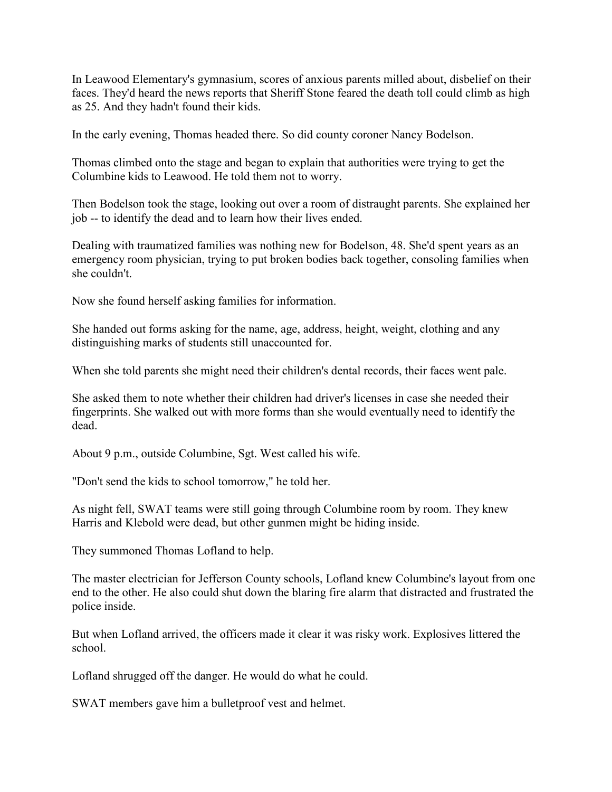In Leawood Elementary's gymnasium, scores of anxious parents milled about, disbelief on their faces. They'd heard the news reports that Sheriff Stone feared the death toll could climb as high as 25. And they hadn't found their kids.

In the early evening, Thomas headed there. So did county coroner Nancy Bodelson.

Thomas climbed onto the stage and began to explain that authorities were trying to get the Columbine kids to Leawood. He told them not to worry.

Then Bodelson took the stage, looking out over a room of distraught parents. She explained her job -- to identify the dead and to learn how their lives ended.

Dealing with traumatized families was nothing new for Bodelson, 48. She'd spent years as an emergency room physician, trying to put broken bodies back together, consoling families when she couldn't.

Now she found herself asking families for information.

She handed out forms asking for the name, age, address, height, weight, clothing and any distinguishing marks of students still unaccounted for.

When she told parents she might need their children's dental records, their faces went pale.

She asked them to note whether their children had driver's licenses in case she needed their fingerprints. She walked out with more forms than she would eventually need to identify the dead.

About 9 p.m., outside Columbine, Sgt. West called his wife.

"Don't send the kids to school tomorrow," he told her.

As night fell, SWAT teams were still going through Columbine room by room. They knew Harris and Klebold were dead, but other gunmen might be hiding inside.

They summoned Thomas Lofland to help.

The master electrician for Jefferson County schools, Lofland knew Columbine's layout from one end to the other. He also could shut down the blaring fire alarm that distracted and frustrated the police inside.

But when Lofland arrived, the officers made it clear it was risky work. Explosives littered the school.

Lofland shrugged off the danger. He would do what he could.

SWAT members gave him a bulletproof vest and helmet.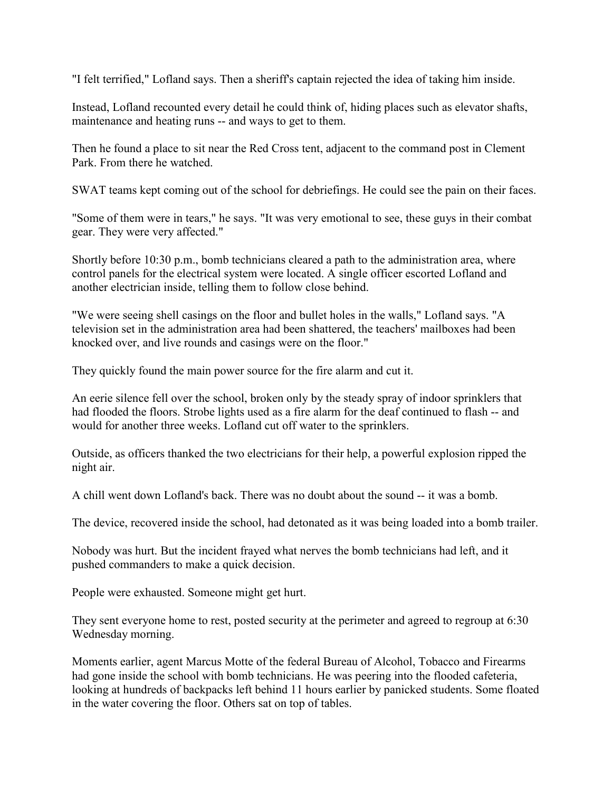"I felt terrified," Lofland says. Then a sheriff's captain rejected the idea of taking him inside.

Instead, Lofland recounted every detail he could think of, hiding places such as elevator shafts, maintenance and heating runs -- and ways to get to them.

Then he found a place to sit near the Red Cross tent, adjacent to the command post in Clement Park. From there he watched.

SWAT teams kept coming out of the school for debriefings. He could see the pain on their faces.

"Some of them were in tears," he says. "It was very emotional to see, these guys in their combat gear. They were very affected."

Shortly before 10:30 p.m., bomb technicians cleared a path to the administration area, where control panels for the electrical system were located. A single officer escorted Lofland and another electrician inside, telling them to follow close behind.

"We were seeing shell casings on the floor and bullet holes in the walls," Lofland says. "A television set in the administration area had been shattered, the teachers' mailboxes had been knocked over, and live rounds and casings were on the floor."

They quickly found the main power source for the fire alarm and cut it.

An eerie silence fell over the school, broken only by the steady spray of indoor sprinklers that had flooded the floors. Strobe lights used as a fire alarm for the deaf continued to flash -- and would for another three weeks. Lofland cut off water to the sprinklers.

Outside, as officers thanked the two electricians for their help, a powerful explosion ripped the night air.

A chill went down Lofland's back. There was no doubt about the sound -- it was a bomb.

The device, recovered inside the school, had detonated as it was being loaded into a bomb trailer.

Nobody was hurt. But the incident frayed what nerves the bomb technicians had left, and it pushed commanders to make a quick decision.

People were exhausted. Someone might get hurt.

They sent everyone home to rest, posted security at the perimeter and agreed to regroup at 6:30 Wednesday morning.

Moments earlier, agent Marcus Motte of the federal Bureau of Alcohol, Tobacco and Firearms had gone inside the school with bomb technicians. He was peering into the flooded cafeteria, looking at hundreds of backpacks left behind 11 hours earlier by panicked students. Some floated in the water covering the floor. Others sat on top of tables.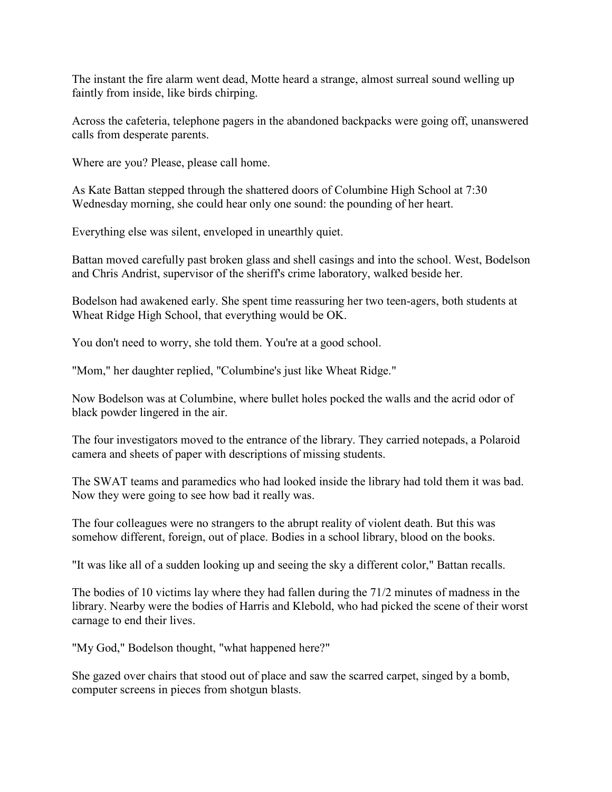The instant the fire alarm went dead, Motte heard a strange, almost surreal sound welling up faintly from inside, like birds chirping.

Across the cafeteria, telephone pagers in the abandoned backpacks were going off, unanswered calls from desperate parents.

Where are you? Please, please call home.

As Kate Battan stepped through the shattered doors of Columbine High School at 7:30 Wednesday morning, she could hear only one sound: the pounding of her heart.

Everything else was silent, enveloped in unearthly quiet.

Battan moved carefully past broken glass and shell casings and into the school. West, Bodelson and Chris Andrist, supervisor of the sheriff's crime laboratory, walked beside her.

Bodelson had awakened early. She spent time reassuring her two teen-agers, both students at Wheat Ridge High School, that everything would be OK.

You don't need to worry, she told them. You're at a good school.

"Mom," her daughter replied, "Columbine's just like Wheat Ridge."

Now Bodelson was at Columbine, where bullet holes pocked the walls and the acrid odor of black powder lingered in the air.

The four investigators moved to the entrance of the library. They carried notepads, a Polaroid camera and sheets of paper with descriptions of missing students.

The SWAT teams and paramedics who had looked inside the library had told them it was bad. Now they were going to see how bad it really was.

The four colleagues were no strangers to the abrupt reality of violent death. But this was somehow different, foreign, out of place. Bodies in a school library, blood on the books.

"It was like all of a sudden looking up and seeing the sky a different color," Battan recalls.

The bodies of 10 victims lay where they had fallen during the 71/2 minutes of madness in the library. Nearby were the bodies of Harris and Klebold, who had picked the scene of their worst carnage to end their lives.

"My God," Bodelson thought, "what happened here?"

She gazed over chairs that stood out of place and saw the scarred carpet, singed by a bomb, computer screens in pieces from shotgun blasts.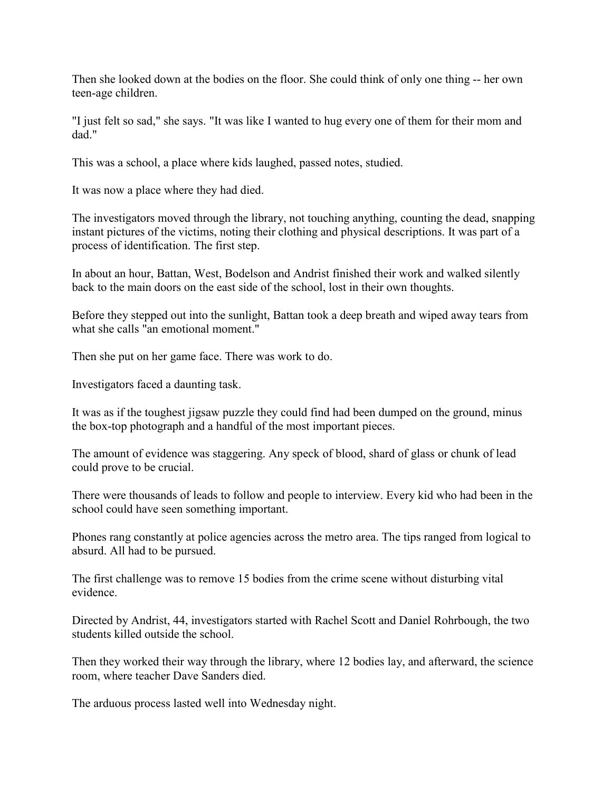Then she looked down at the bodies on the floor. She could think of only one thing -- her own teen-age children.

"I just felt so sad," she says. "It was like I wanted to hug every one of them for their mom and dad."

This was a school, a place where kids laughed, passed notes, studied.

It was now a place where they had died.

The investigators moved through the library, not touching anything, counting the dead, snapping instant pictures of the victims, noting their clothing and physical descriptions. It was part of a process of identification. The first step.

In about an hour, Battan, West, Bodelson and Andrist finished their work and walked silently back to the main doors on the east side of the school, lost in their own thoughts.

Before they stepped out into the sunlight, Battan took a deep breath and wiped away tears from what she calls "an emotional moment."

Then she put on her game face. There was work to do.

Investigators faced a daunting task.

It was as if the toughest jigsaw puzzle they could find had been dumped on the ground, minus the box-top photograph and a handful of the most important pieces.

The amount of evidence was staggering. Any speck of blood, shard of glass or chunk of lead could prove to be crucial.

There were thousands of leads to follow and people to interview. Every kid who had been in the school could have seen something important.

Phones rang constantly at police agencies across the metro area. The tips ranged from logical to absurd. All had to be pursued.

The first challenge was to remove 15 bodies from the crime scene without disturbing vital evidence.

Directed by Andrist, 44, investigators started with Rachel Scott and Daniel Rohrbough, the two students killed outside the school.

Then they worked their way through the library, where 12 bodies lay, and afterward, the science room, where teacher Dave Sanders died.

The arduous process lasted well into Wednesday night.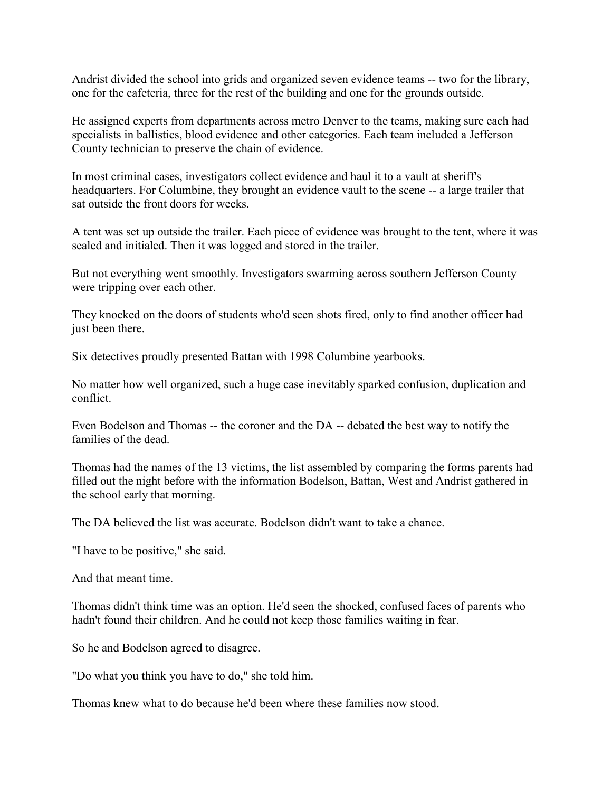Andrist divided the school into grids and organized seven evidence teams -- two for the library, one for the cafeteria, three for the rest of the building and one for the grounds outside.

He assigned experts from departments across metro Denver to the teams, making sure each had specialists in ballistics, blood evidence and other categories. Each team included a Jefferson County technician to preserve the chain of evidence.

In most criminal cases, investigators collect evidence and haul it to a vault at sheriff's headquarters. For Columbine, they brought an evidence vault to the scene -- a large trailer that sat outside the front doors for weeks.

A tent was set up outside the trailer. Each piece of evidence was brought to the tent, where it was sealed and initialed. Then it was logged and stored in the trailer.

But not everything went smoothly. Investigators swarming across southern Jefferson County were tripping over each other.

They knocked on the doors of students who'd seen shots fired, only to find another officer had just been there.

Six detectives proudly presented Battan with 1998 Columbine yearbooks.

No matter how well organized, such a huge case inevitably sparked confusion, duplication and conflict.

Even Bodelson and Thomas -- the coroner and the DA -- debated the best way to notify the families of the dead.

Thomas had the names of the 13 victims, the list assembled by comparing the forms parents had filled out the night before with the information Bodelson, Battan, West and Andrist gathered in the school early that morning.

The DA believed the list was accurate. Bodelson didn't want to take a chance.

"I have to be positive," she said.

And that meant time.

Thomas didn't think time was an option. He'd seen the shocked, confused faces of parents who hadn't found their children. And he could not keep those families waiting in fear.

So he and Bodelson agreed to disagree.

"Do what you think you have to do," she told him.

Thomas knew what to do because he'd been where these families now stood.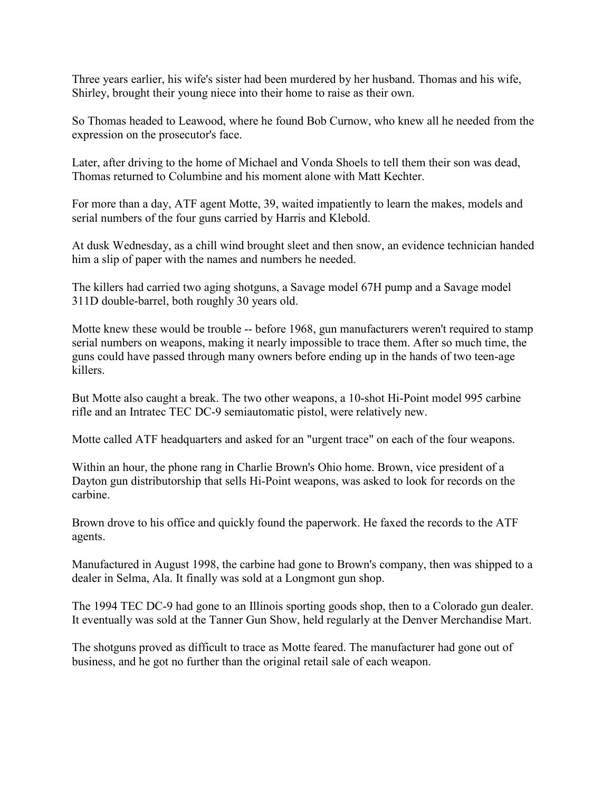Three years earlier, his wife's sister had been murdered by her husband. Thomas and his wife, Shirley, brought their young niece into their home to raise as their own.

So Thomas headed to Leawood, where he found Bob Curnow, who knew all he needed from the expression on the prosecutor's face.

Later, after driving to the home of Michael and Vonda Shoels to tell them their son was dead, Thomas returned to Columbine and his moment alone with Matt Kechter.

For more than a day, ATF agent Motte, 39, waited impatiently to learn the makes, models and serial numbers of the four guns carried by Harris and Klebold.

At dusk Wednesday, as a chill wind brought sleet and then snow, an evidence technician handed him a slip of paper with the names and numbers he needed.

The killers had carried two aging shotguns, a Savage model 67H pump and a Savage model 311D double-barrel, both roughly 30 years old.

Motte knew these would be trouble -- before 1968, gun manufacturers weren't required to stamp serial numbers on weapons, making it nearly impossible to trace them. After so much time, the guns could have passed through many owners before ending up in the hands of two teen-age killers.

But Motte also caught a break. The two other weapons, a 10-shot Hi-Point model 995 carbine rifle and an Intratec TEC DC-9 semiautomatic pistol, were relatively new.

Motte called ATF headquarters and asked for an "urgent trace" on each of the four weapons.

Within an hour, the phone rang in Charlie Brown's Ohio home. Brown, vice president of a Dayton gun distributorship that sells Hi-Point weapons, was asked to look for records on the carbine.

Brown drove to his office and quickly found the paperwork. He faxed the records to the ATF agents.

Manufactured in August 1998, the carbine had gone to Brown's company, then was shipped to a dealer in Selma, Ala. It finally was sold at a Longmont gun shop.

The 1994 TEC DC-9 had gone to an Illinois sporting goods shop, then to a Colorado gun dealer. It eventually was sold at the Tanner Gun Show, held regularly at the Denver Merchandise Mart.

The shotguns proved as difficult to trace as Motte feared. The manufacturer had gone out of business, and he got no further than the original retail sale of each weapon.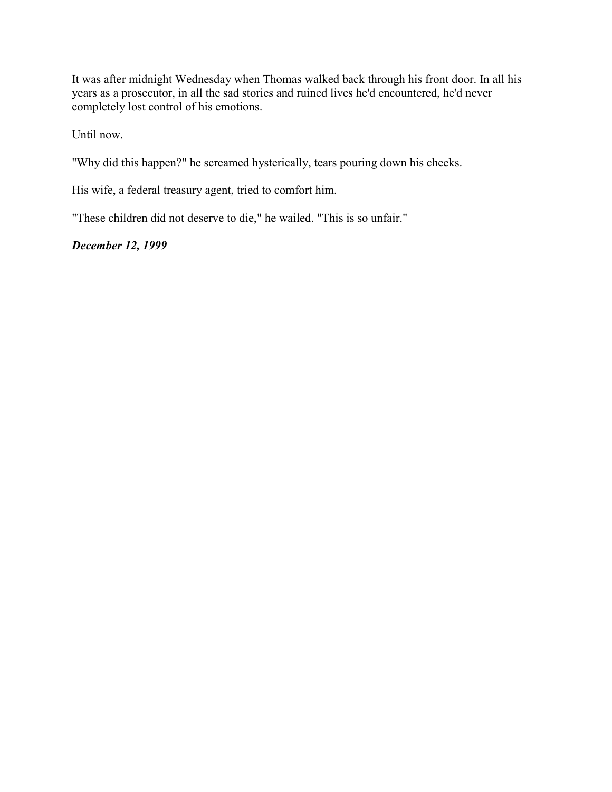It was after midnight Wednesday when Thomas walked back through his front door. In all his years as a prosecutor, in all the sad stories and ruined lives he'd encountered, he'd never completely lost control of his emotions.

Until now.

"Why did this happen?" he screamed hysterically, tears pouring down his cheeks.

His wife, a federal treasury agent, tried to comfort him.

"These children did not deserve to die," he wailed. "This is so unfair."

# *December 12, 1999*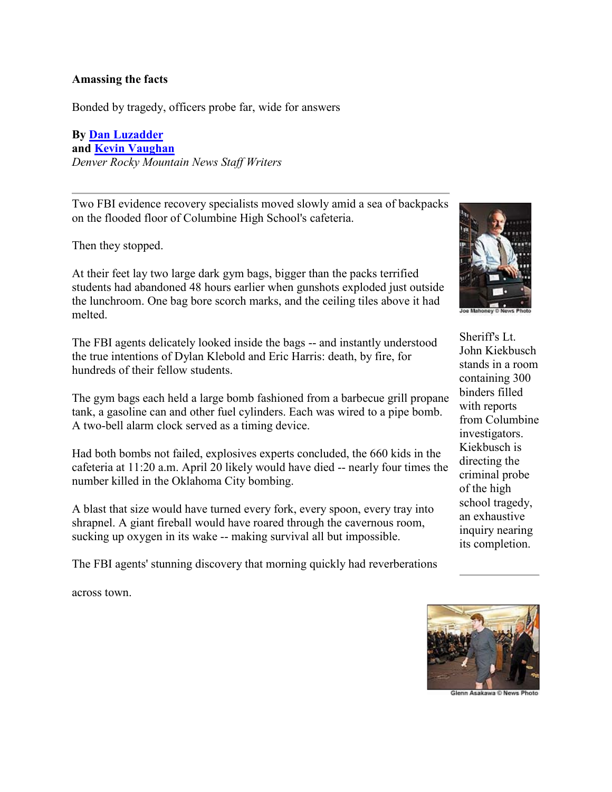### **Amassing the facts**

Bonded by tragedy, officers probe far, wide for answers

**By [Dan Luzadder](mailto:luzadderd@rockymountainnews.com) and [Kevin Vaughan](mailto:vaughank@rockymountainnews.com)** *Denver Rocky Mountain News Staff Writers*

Two FBI evidence recovery specialists moved slowly amid a sea of backpacks on the flooded floor of Columbine High School's cafeteria.

Then they stopped.

At their feet lay two large dark gym bags, bigger than the packs terrified students had abandoned 48 hours earlier when gunshots exploded just outside the lunchroom. One bag bore scorch marks, and the ceiling tiles above it had melted.

The FBI agents delicately looked inside the bags -- and instantly understood the true intentions of Dylan Klebold and Eric Harris: death, by fire, for hundreds of their fellow students.

The gym bags each held a large bomb fashioned from a barbecue grill propane tank, a gasoline can and other fuel cylinders. Each was wired to a pipe bomb. A two-bell alarm clock served as a timing device.

Had both bombs not failed, explosives experts concluded, the 660 kids in the cafeteria at 11:20 a.m. April 20 likely would have died -- nearly four times the number killed in the Oklahoma City bombing.

A blast that size would have turned every fork, every spoon, every tray into shrapnel. A giant fireball would have roared through the cavernous room, sucking up oxygen in its wake -- making survival all but impossible.

The FBI agents' stunning discovery that morning quickly had reverberations

across town.



Sheriff's Lt. John Kiekbusch stands in a room containing 300 binders filled with reports from Columbine investigators. Kiekbusch is directing the criminal probe of the high school tragedy, an exhaustive inquiry nearing its completion.



Glenn Asakawa © News Pho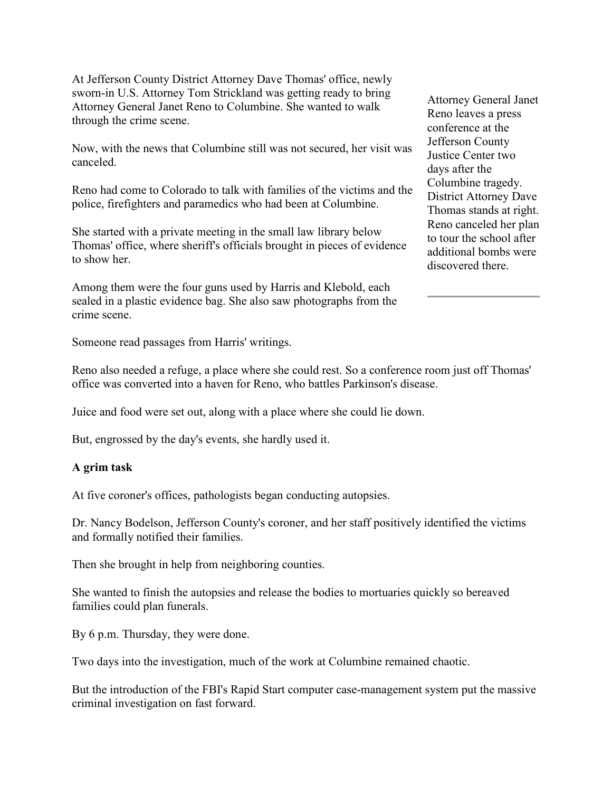At Jefferson County District Attorney Dave Thomas' office, newly sworn-in U.S. Attorney Tom Strickland was getting ready to bring Attorney General Janet Reno to Columbine. She wanted to walk through the crime scene.

Now, with the news that Columbine still was not secured, her visit was canceled.

Reno had come to Colorado to talk with families of the victims and the police, firefighters and paramedics who had been at Columbine.

She started with a private meeting in the small law library below Thomas' office, where sheriff's officials brought in pieces of evidence to show her.

Among them were the four guns used by Harris and Klebold, each sealed in a plastic evidence bag. She also saw photographs from the crime scene.

Attorney General Janet Reno leaves a press conference at the Jefferson County Justice Center two days after the Columbine tragedy. District Attorney Dave Thomas stands at right. Reno canceled her plan to tour the school after additional bombs were discovered there.

Someone read passages from Harris' writings.

Reno also needed a refuge, a place where she could rest. So a conference room just off Thomas' office was converted into a haven for Reno, who battles Parkinson's disease.

Juice and food were set out, along with a place where she could lie down.

But, engrossed by the day's events, she hardly used it.

### **A grim task**

At five coroner's offices, pathologists began conducting autopsies.

Dr. Nancy Bodelson, Jefferson County's coroner, and her staff positively identified the victims and formally notified their families.

Then she brought in help from neighboring counties.

She wanted to finish the autopsies and release the bodies to mortuaries quickly so bereaved families could plan funerals.

By 6 p.m. Thursday, they were done.

Two days into the investigation, much of the work at Columbine remained chaotic.

But the introduction of the FBI's Rapid Start computer case-management system put the massive criminal investigation on fast forward.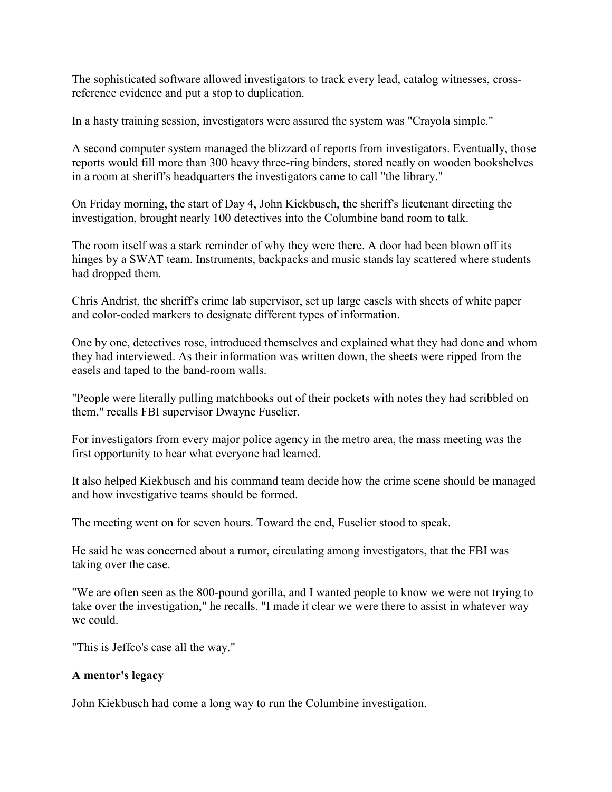The sophisticated software allowed investigators to track every lead, catalog witnesses, crossreference evidence and put a stop to duplication.

In a hasty training session, investigators were assured the system was "Crayola simple."

A second computer system managed the blizzard of reports from investigators. Eventually, those reports would fill more than 300 heavy three-ring binders, stored neatly on wooden bookshelves in a room at sheriff's headquarters the investigators came to call "the library."

On Friday morning, the start of Day 4, John Kiekbusch, the sheriff's lieutenant directing the investigation, brought nearly 100 detectives into the Columbine band room to talk.

The room itself was a stark reminder of why they were there. A door had been blown off its hinges by a SWAT team. Instruments, backpacks and music stands lay scattered where students had dropped them.

Chris Andrist, the sheriff's crime lab supervisor, set up large easels with sheets of white paper and color-coded markers to designate different types of information.

One by one, detectives rose, introduced themselves and explained what they had done and whom they had interviewed. As their information was written down, the sheets were ripped from the easels and taped to the band-room walls.

"People were literally pulling matchbooks out of their pockets with notes they had scribbled on them," recalls FBI supervisor Dwayne Fuselier.

For investigators from every major police agency in the metro area, the mass meeting was the first opportunity to hear what everyone had learned.

It also helped Kiekbusch and his command team decide how the crime scene should be managed and how investigative teams should be formed.

The meeting went on for seven hours. Toward the end, Fuselier stood to speak.

He said he was concerned about a rumor, circulating among investigators, that the FBI was taking over the case.

"We are often seen as the 800-pound gorilla, and I wanted people to know we were not trying to take over the investigation," he recalls. "I made it clear we were there to assist in whatever way we could.

"This is Jeffco's case all the way."

# **A mentor's legacy**

John Kiekbusch had come a long way to run the Columbine investigation.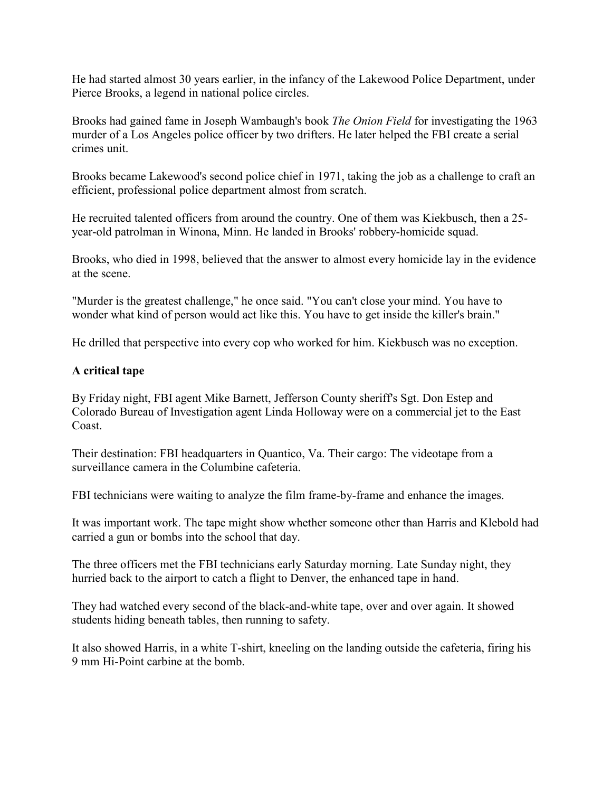He had started almost 30 years earlier, in the infancy of the Lakewood Police Department, under Pierce Brooks, a legend in national police circles.

Brooks had gained fame in Joseph Wambaugh's book *The Onion Field* for investigating the 1963 murder of a Los Angeles police officer by two drifters. He later helped the FBI create a serial crimes unit.

Brooks became Lakewood's second police chief in 1971, taking the job as a challenge to craft an efficient, professional police department almost from scratch.

He recruited talented officers from around the country. One of them was Kiekbusch, then a 25 year-old patrolman in Winona, Minn. He landed in Brooks' robbery-homicide squad.

Brooks, who died in 1998, believed that the answer to almost every homicide lay in the evidence at the scene.

"Murder is the greatest challenge," he once said. "You can't close your mind. You have to wonder what kind of person would act like this. You have to get inside the killer's brain."

He drilled that perspective into every cop who worked for him. Kiekbusch was no exception.

# **A critical tape**

By Friday night, FBI agent Mike Barnett, Jefferson County sheriff's Sgt. Don Estep and Colorado Bureau of Investigation agent Linda Holloway were on a commercial jet to the East Coast.

Their destination: FBI headquarters in Quantico, Va. Their cargo: The videotape from a surveillance camera in the Columbine cafeteria.

FBI technicians were waiting to analyze the film frame-by-frame and enhance the images.

It was important work. The tape might show whether someone other than Harris and Klebold had carried a gun or bombs into the school that day.

The three officers met the FBI technicians early Saturday morning. Late Sunday night, they hurried back to the airport to catch a flight to Denver, the enhanced tape in hand.

They had watched every second of the black-and-white tape, over and over again. It showed students hiding beneath tables, then running to safety.

It also showed Harris, in a white T-shirt, kneeling on the landing outside the cafeteria, firing his 9 mm Hi-Point carbine at the bomb.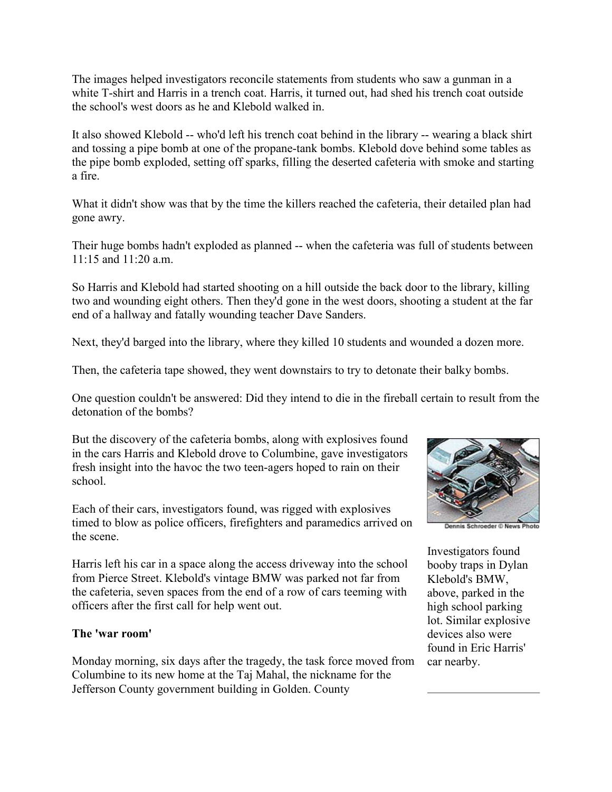The images helped investigators reconcile statements from students who saw a gunman in a white T-shirt and Harris in a trench coat. Harris, it turned out, had shed his trench coat outside the school's west doors as he and Klebold walked in.

It also showed Klebold -- who'd left his trench coat behind in the library -- wearing a black shirt and tossing a pipe bomb at one of the propane-tank bombs. Klebold dove behind some tables as the pipe bomb exploded, setting off sparks, filling the deserted cafeteria with smoke and starting a fire.

What it didn't show was that by the time the killers reached the cafeteria, their detailed plan had gone awry.

Their huge bombs hadn't exploded as planned -- when the cafeteria was full of students between 11:15 and 11:20 a.m.

So Harris and Klebold had started shooting on a hill outside the back door to the library, killing two and wounding eight others. Then they'd gone in the west doors, shooting a student at the far end of a hallway and fatally wounding teacher Dave Sanders.

Next, they'd barged into the library, where they killed 10 students and wounded a dozen more.

Then, the cafeteria tape showed, they went downstairs to try to detonate their balky bombs.

One question couldn't be answered: Did they intend to die in the fireball certain to result from the detonation of the bombs?

But the discovery of the cafeteria bombs, along with explosives found in the cars Harris and Klebold drove to Columbine, gave investigators fresh insight into the havoc the two teen-agers hoped to rain on their school.

Each of their cars, investigators found, was rigged with explosives timed to blow as police officers, firefighters and paramedics arrived on the scene.

Harris left his car in a space along the access driveway into the school from Pierce Street. Klebold's vintage BMW was parked not far from the cafeteria, seven spaces from the end of a row of cars teeming with officers after the first call for help went out.

### **The 'war room'**

Monday morning, six days after the tragedy, the task force moved from Columbine to its new home at the Taj Mahal, the nickname for the Jefferson County government building in Golden. County



nnis Schroeder © News Photo

Investigators found booby traps in Dylan Klebold's BMW, above, parked in the high school parking lot. Similar explosive devices also were found in Eric Harris' car nearby.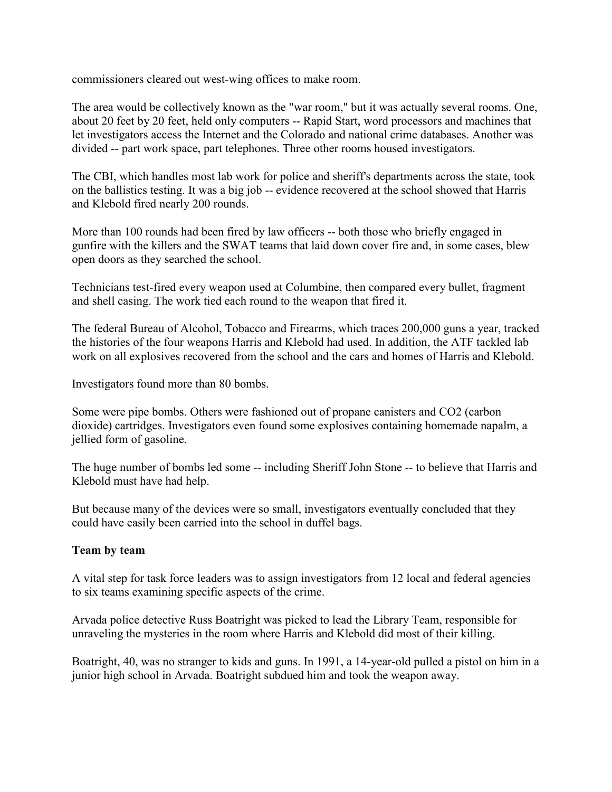commissioners cleared out west-wing offices to make room.

The area would be collectively known as the "war room," but it was actually several rooms. One, about 20 feet by 20 feet, held only computers -- Rapid Start, word processors and machines that let investigators access the Internet and the Colorado and national crime databases. Another was divided -- part work space, part telephones. Three other rooms housed investigators.

The CBI, which handles most lab work for police and sheriff's departments across the state, took on the ballistics testing. It was a big job -- evidence recovered at the school showed that Harris and Klebold fired nearly 200 rounds.

More than 100 rounds had been fired by law officers -- both those who briefly engaged in gunfire with the killers and the SWAT teams that laid down cover fire and, in some cases, blew open doors as they searched the school.

Technicians test-fired every weapon used at Columbine, then compared every bullet, fragment and shell casing. The work tied each round to the weapon that fired it.

The federal Bureau of Alcohol, Tobacco and Firearms, which traces 200,000 guns a year, tracked the histories of the four weapons Harris and Klebold had used. In addition, the ATF tackled lab work on all explosives recovered from the school and the cars and homes of Harris and Klebold.

Investigators found more than 80 bombs.

Some were pipe bombs. Others were fashioned out of propane canisters and CO2 (carbon dioxide) cartridges. Investigators even found some explosives containing homemade napalm, a jellied form of gasoline.

The huge number of bombs led some -- including Sheriff John Stone -- to believe that Harris and Klebold must have had help.

But because many of the devices were so small, investigators eventually concluded that they could have easily been carried into the school in duffel bags.

### **Team by team**

A vital step for task force leaders was to assign investigators from 12 local and federal agencies to six teams examining specific aspects of the crime.

Arvada police detective Russ Boatright was picked to lead the Library Team, responsible for unraveling the mysteries in the room where Harris and Klebold did most of their killing.

Boatright, 40, was no stranger to kids and guns. In 1991, a 14-year-old pulled a pistol on him in a junior high school in Arvada. Boatright subdued him and took the weapon away.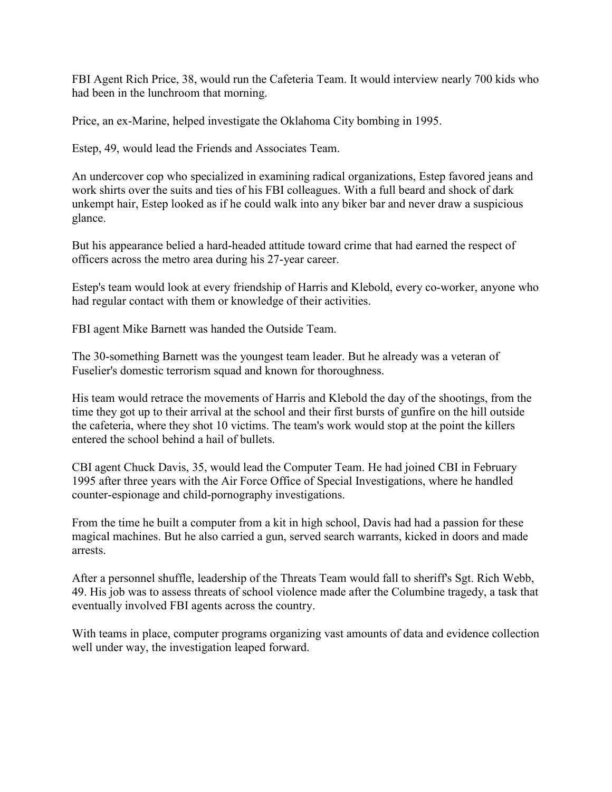FBI Agent Rich Price, 38, would run the Cafeteria Team. It would interview nearly 700 kids who had been in the lunchroom that morning.

Price, an ex-Marine, helped investigate the Oklahoma City bombing in 1995.

Estep, 49, would lead the Friends and Associates Team.

An undercover cop who specialized in examining radical organizations, Estep favored jeans and work shirts over the suits and ties of his FBI colleagues. With a full beard and shock of dark unkempt hair, Estep looked as if he could walk into any biker bar and never draw a suspicious glance.

But his appearance belied a hard-headed attitude toward crime that had earned the respect of officers across the metro area during his 27-year career.

Estep's team would look at every friendship of Harris and Klebold, every co-worker, anyone who had regular contact with them or knowledge of their activities.

FBI agent Mike Barnett was handed the Outside Team.

The 30-something Barnett was the youngest team leader. But he already was a veteran of Fuselier's domestic terrorism squad and known for thoroughness.

His team would retrace the movements of Harris and Klebold the day of the shootings, from the time they got up to their arrival at the school and their first bursts of gunfire on the hill outside the cafeteria, where they shot 10 victims. The team's work would stop at the point the killers entered the school behind a hail of bullets.

CBI agent Chuck Davis, 35, would lead the Computer Team. He had joined CBI in February 1995 after three years with the Air Force Office of Special Investigations, where he handled counter-espionage and child-pornography investigations.

From the time he built a computer from a kit in high school, Davis had had a passion for these magical machines. But he also carried a gun, served search warrants, kicked in doors and made arrests.

After a personnel shuffle, leadership of the Threats Team would fall to sheriff's Sgt. Rich Webb, 49. His job was to assess threats of school violence made after the Columbine tragedy, a task that eventually involved FBI agents across the country.

With teams in place, computer programs organizing vast amounts of data and evidence collection well under way, the investigation leaped forward.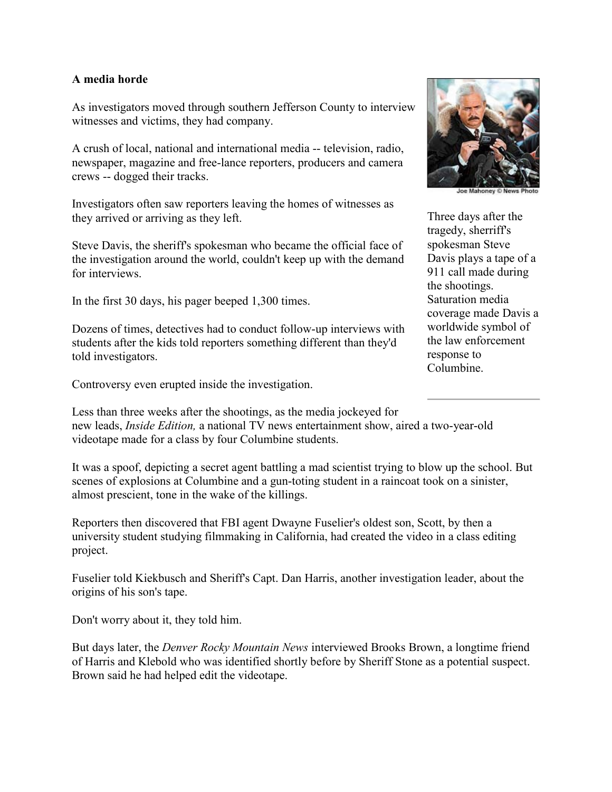### **A media horde**

As investigators moved through southern Jefferson County to interview witnesses and victims, they had company.

A crush of local, national and international media -- television, radio, newspaper, magazine and free-lance reporters, producers and camera crews -- dogged their tracks.

Investigators often saw reporters leaving the homes of witnesses as they arrived or arriving as they left.

Steve Davis, the sheriff's spokesman who became the official face of the investigation around the world, couldn't keep up with the demand for interviews.

In the first 30 days, his pager beeped 1,300 times.

Dozens of times, detectives had to conduct follow-up interviews with students after the kids told reporters something different than they'd told investigators.

Controversy even erupted inside the investigation.



Three days after the tragedy, sherriff's spokesman Steve Davis plays a tape of a 911 call made during the shootings. Saturation media coverage made Davis a worldwide symbol of the law enforcement response to Columbine.

Less than three weeks after the shootings, as the media jockeyed for new leads, *Inside Edition,* a national TV news entertainment show, aired a two-year-old videotape made for a class by four Columbine students.

It was a spoof, depicting a secret agent battling a mad scientist trying to blow up the school. But scenes of explosions at Columbine and a gun-toting student in a raincoat took on a sinister, almost prescient, tone in the wake of the killings.

Reporters then discovered that FBI agent Dwayne Fuselier's oldest son, Scott, by then a university student studying filmmaking in California, had created the video in a class editing project.

Fuselier told Kiekbusch and Sheriff's Capt. Dan Harris, another investigation leader, about the origins of his son's tape.

Don't worry about it, they told him.

But days later, the *Denver Rocky Mountain News* interviewed Brooks Brown, a longtime friend of Harris and Klebold who was identified shortly before by Sheriff Stone as a potential suspect. Brown said he had helped edit the videotape.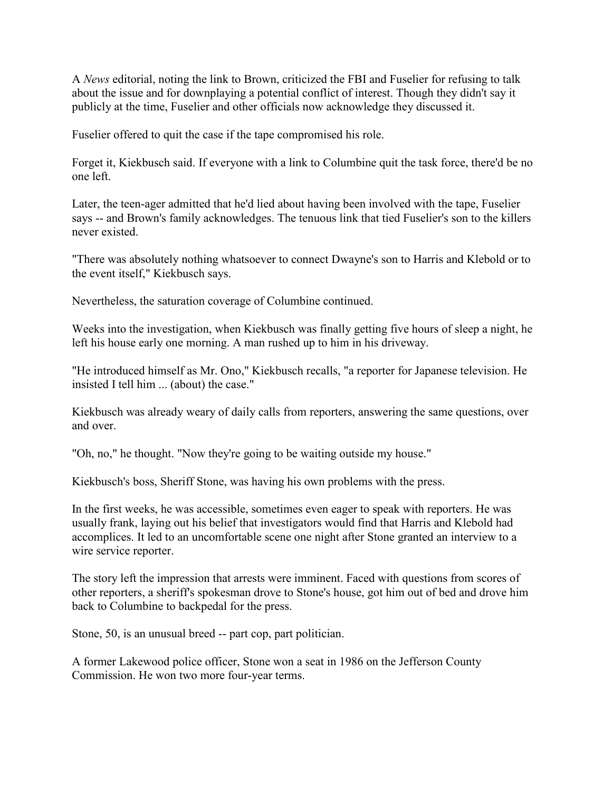A *News* editorial, noting the link to Brown, criticized the FBI and Fuselier for refusing to talk about the issue and for downplaying a potential conflict of interest. Though they didn't say it publicly at the time, Fuselier and other officials now acknowledge they discussed it.

Fuselier offered to quit the case if the tape compromised his role.

Forget it, Kiekbusch said. If everyone with a link to Columbine quit the task force, there'd be no one left.

Later, the teen-ager admitted that he'd lied about having been involved with the tape, Fuselier says -- and Brown's family acknowledges. The tenuous link that tied Fuselier's son to the killers never existed.

"There was absolutely nothing whatsoever to connect Dwayne's son to Harris and Klebold or to the event itself," Kiekbusch says.

Nevertheless, the saturation coverage of Columbine continued.

Weeks into the investigation, when Kiekbusch was finally getting five hours of sleep a night, he left his house early one morning. A man rushed up to him in his driveway.

"He introduced himself as Mr. Ono," Kiekbusch recalls, "a reporter for Japanese television. He insisted I tell him ... (about) the case."

Kiekbusch was already weary of daily calls from reporters, answering the same questions, over and over.

"Oh, no," he thought. "Now they're going to be waiting outside my house."

Kiekbusch's boss, Sheriff Stone, was having his own problems with the press.

In the first weeks, he was accessible, sometimes even eager to speak with reporters. He was usually frank, laying out his belief that investigators would find that Harris and Klebold had accomplices. It led to an uncomfortable scene one night after Stone granted an interview to a wire service reporter.

The story left the impression that arrests were imminent. Faced with questions from scores of other reporters, a sheriff's spokesman drove to Stone's house, got him out of bed and drove him back to Columbine to backpedal for the press.

Stone, 50, is an unusual breed -- part cop, part politician.

A former Lakewood police officer, Stone won a seat in 1986 on the Jefferson County Commission. He won two more four-year terms.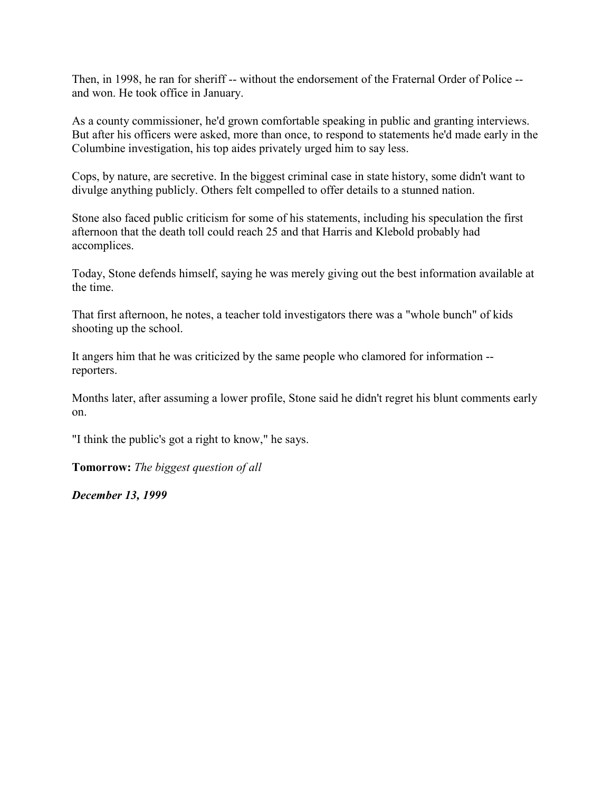Then, in 1998, he ran for sheriff -- without the endorsement of the Fraternal Order of Police -and won. He took office in January.

As a county commissioner, he'd grown comfortable speaking in public and granting interviews. But after his officers were asked, more than once, to respond to statements he'd made early in the Columbine investigation, his top aides privately urged him to say less.

Cops, by nature, are secretive. In the biggest criminal case in state history, some didn't want to divulge anything publicly. Others felt compelled to offer details to a stunned nation.

Stone also faced public criticism for some of his statements, including his speculation the first afternoon that the death toll could reach 25 and that Harris and Klebold probably had accomplices.

Today, Stone defends himself, saying he was merely giving out the best information available at the time.

That first afternoon, he notes, a teacher told investigators there was a "whole bunch" of kids shooting up the school.

It angers him that he was criticized by the same people who clamored for information - reporters.

Months later, after assuming a lower profile, Stone said he didn't regret his blunt comments early on.

"I think the public's got a right to know," he says.

**Tomorrow:** *The biggest question of all*

*December 13, 1999*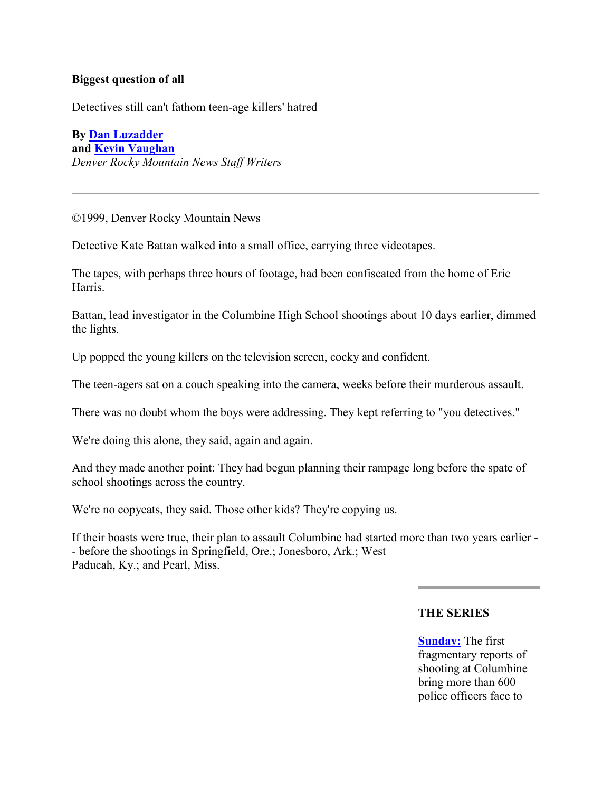### **Biggest question of all**

Detectives still can't fathom teen-age killers' hatred

**By [Dan Luzadder](mailto:luzadderd@rockymountainnews.com) and [Kevin Vaughan](mailto:vaughank@rockymountainnews.com)** *Denver Rocky Mountain News Staff Writers*

©1999, Denver Rocky Mountain News

Detective Kate Battan walked into a small office, carrying three videotapes.

The tapes, with perhaps three hours of footage, had been confiscated from the home of Eric Harris.

Battan, lead investigator in the Columbine High School shootings about 10 days earlier, dimmed the lights.

Up popped the young killers on the television screen, cocky and confident.

The teen-agers sat on a couch speaking into the camera, weeks before their murderous assault.

There was no doubt whom the boys were addressing. They kept referring to "you detectives."

We're doing this alone, they said, again and again.

And they made another point: They had begun planning their rampage long before the spate of school shootings across the country.

We're no copycats, they said. Those other kids? They're copying us.

If their boasts were true, their plan to assault Columbine had started more than two years earlier - - before the shootings in Springfield, Ore.; Jonesboro, Ark.; West Paducah, Ky.; and Pearl, Miss.

#### **THE SERIES**

**[Sunday:](http://web.archive.org/web/20030604131522/http:/denver.rockymountainnews.com/shooting/1212col1.shtml)** The first fragmentary reports of shooting at Columbine bring more than 600 police officers face to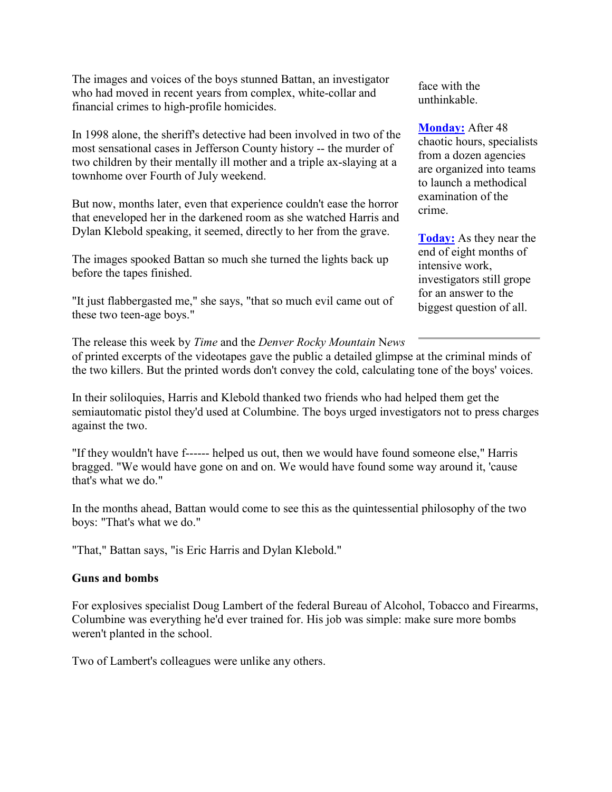The images and voices of the boys stunned Battan, an investigator who had moved in recent years from complex, white-collar and financial crimes to high-profile homicides.

In 1998 alone, the sheriff's detective had been involved in two of the most sensational cases in Jefferson County history -- the murder of two children by their mentally ill mother and a triple ax-slaying at a townhome over Fourth of July weekend.

But now, months later, even that experience couldn't ease the horror that eneveloped her in the darkened room as she watched Harris and Dylan Klebold speaking, it seemed, directly to her from the grave.

The images spooked Battan so much she turned the lights back up before the tapes finished.

"It just flabbergasted me," she says, "that so much evil came out of these two teen-age boys."

face with the unthinkable.

**[Monday:](http://web.archive.org/web/20030604131522/http:/denver.rockymountainnews.com/shooting/1213col1.shtml)** After 48 chaotic hours, specialists from a dozen agencies are organized into teams to launch a methodical examination of the crime.

**[Today:](http://web.archive.org/web/20030604131522/http:/denver.rockymountainnews.com/shooting/1214col1.shtml)** As they near the end of eight months of intensive work, investigators still grope for an answer to the biggest question of all.

The release this week by *Time* and the *Denver Rocky Mountain* N*ews* of printed excerpts of the videotapes gave the public a detailed glimpse at the criminal minds of the two killers. But the printed words don't convey the cold, calculating tone of the boys' voices.

In their soliloquies, Harris and Klebold thanked two friends who had helped them get the semiautomatic pistol they'd used at Columbine. The boys urged investigators not to press charges against the two.

"If they wouldn't have f------ helped us out, then we would have found someone else," Harris bragged. "We would have gone on and on. We would have found some way around it, 'cause that's what we do."

In the months ahead, Battan would come to see this as the quintessential philosophy of the two boys: "That's what we do."

"That," Battan says, "is Eric Harris and Dylan Klebold."

### **Guns and bombs**

For explosives specialist Doug Lambert of the federal Bureau of Alcohol, Tobacco and Firearms, Columbine was everything he'd ever trained for. His job was simple: make sure more bombs weren't planted in the school.

Two of Lambert's colleagues were unlike any others.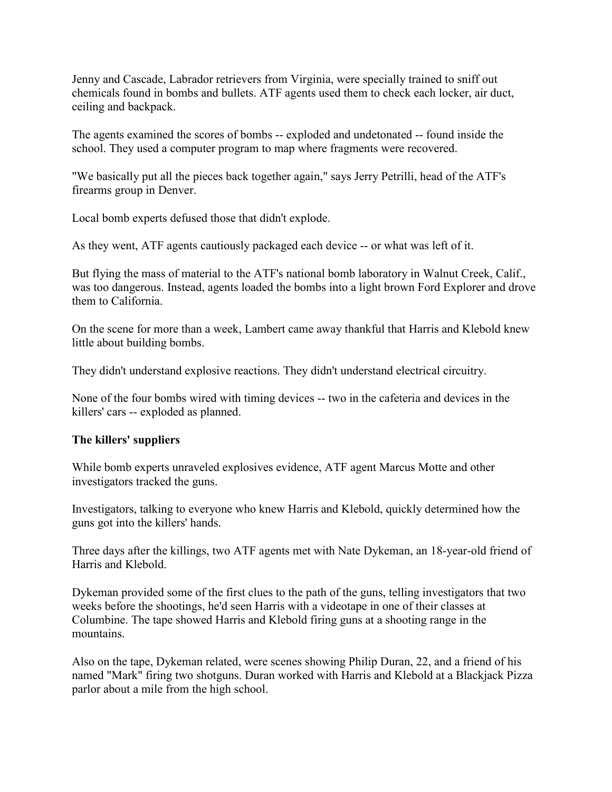Jenny and Cascade, Labrador retrievers from Virginia, were specially trained to sniff out chemicals found in bombs and bullets. ATF agents used them to check each locker, air duct, ceiling and backpack.

The agents examined the scores of bombs -- exploded and undetonated -- found inside the school. They used a computer program to map where fragments were recovered.

"We basically put all the pieces back together again," says Jerry Petrilli, head of the ATF's firearms group in Denver.

Local bomb experts defused those that didn't explode.

As they went, ATF agents cautiously packaged each device -- or what was left of it.

But flying the mass of material to the ATF's national bomb laboratory in Walnut Creek, Calif., was too dangerous. Instead, agents loaded the bombs into a light brown Ford Explorer and drove them to California.

On the scene for more than a week, Lambert came away thankful that Harris and Klebold knew little about building bombs.

They didn't understand explosive reactions. They didn't understand electrical circuitry.

None of the four bombs wired with timing devices -- two in the cafeteria and devices in the killers' cars -- exploded as planned.

### **The killers' suppliers**

While bomb experts unraveled explosives evidence, ATF agent Marcus Motte and other investigators tracked the guns.

Investigators, talking to everyone who knew Harris and Klebold, quickly determined how the guns got into the killers' hands.

Three days after the killings, two ATF agents met with Nate Dykeman, an 18-year-old friend of Harris and Klebold.

Dykeman provided some of the first clues to the path of the guns, telling investigators that two weeks before the shootings, he'd seen Harris with a videotape in one of their classes at Columbine. The tape showed Harris and Klebold firing guns at a shooting range in the mountains.

Also on the tape, Dykeman related, were scenes showing Philip Duran, 22, and a friend of his named "Mark" firing two shotguns. Duran worked with Harris and Klebold at a Blackjack Pizza parlor about a mile from the high school.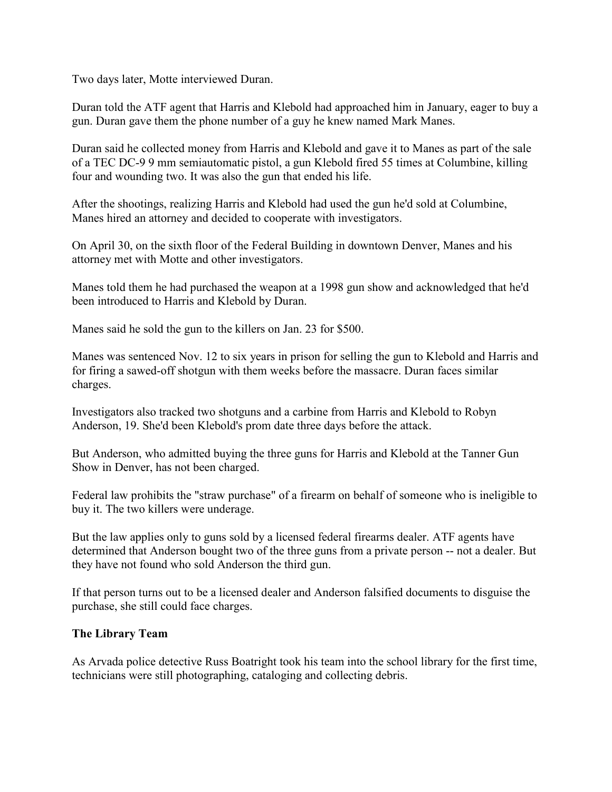Two days later, Motte interviewed Duran.

Duran told the ATF agent that Harris and Klebold had approached him in January, eager to buy a gun. Duran gave them the phone number of a guy he knew named Mark Manes.

Duran said he collected money from Harris and Klebold and gave it to Manes as part of the sale of a TEC DC-9 9 mm semiautomatic pistol, a gun Klebold fired 55 times at Columbine, killing four and wounding two. It was also the gun that ended his life.

After the shootings, realizing Harris and Klebold had used the gun he'd sold at Columbine, Manes hired an attorney and decided to cooperate with investigators.

On April 30, on the sixth floor of the Federal Building in downtown Denver, Manes and his attorney met with Motte and other investigators.

Manes told them he had purchased the weapon at a 1998 gun show and acknowledged that he'd been introduced to Harris and Klebold by Duran.

Manes said he sold the gun to the killers on Jan. 23 for \$500.

Manes was sentenced Nov. 12 to six years in prison for selling the gun to Klebold and Harris and for firing a sawed-off shotgun with them weeks before the massacre. Duran faces similar charges.

Investigators also tracked two shotguns and a carbine from Harris and Klebold to Robyn Anderson, 19. She'd been Klebold's prom date three days before the attack.

But Anderson, who admitted buying the three guns for Harris and Klebold at the Tanner Gun Show in Denver, has not been charged.

Federal law prohibits the "straw purchase" of a firearm on behalf of someone who is ineligible to buy it. The two killers were underage.

But the law applies only to guns sold by a licensed federal firearms dealer. ATF agents have determined that Anderson bought two of the three guns from a private person -- not a dealer. But they have not found who sold Anderson the third gun.

If that person turns out to be a licensed dealer and Anderson falsified documents to disguise the purchase, she still could face charges.

# **The Library Team**

As Arvada police detective Russ Boatright took his team into the school library for the first time, technicians were still photographing, cataloging and collecting debris.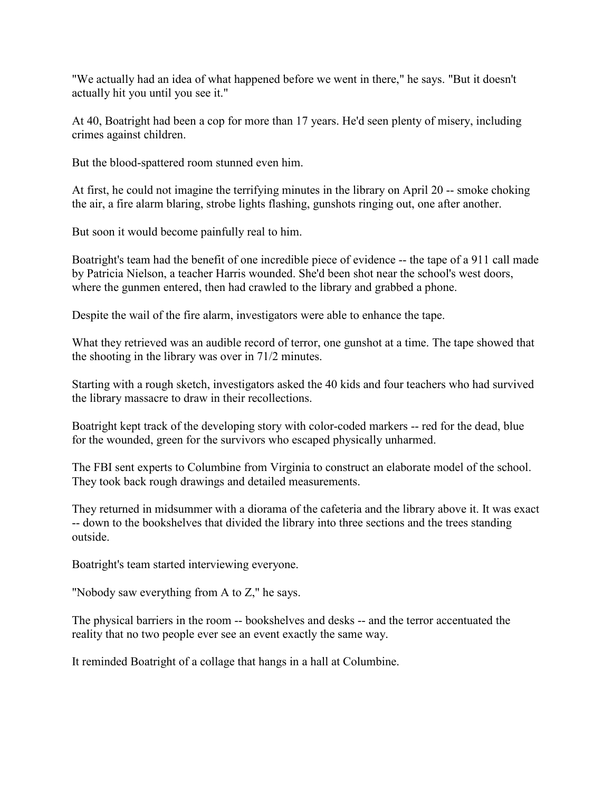"We actually had an idea of what happened before we went in there," he says. "But it doesn't actually hit you until you see it."

At 40, Boatright had been a cop for more than 17 years. He'd seen plenty of misery, including crimes against children.

But the blood-spattered room stunned even him.

At first, he could not imagine the terrifying minutes in the library on April 20 -- smoke choking the air, a fire alarm blaring, strobe lights flashing, gunshots ringing out, one after another.

But soon it would become painfully real to him.

Boatright's team had the benefit of one incredible piece of evidence -- the tape of a 911 call made by Patricia Nielson, a teacher Harris wounded. She'd been shot near the school's west doors, where the gunmen entered, then had crawled to the library and grabbed a phone.

Despite the wail of the fire alarm, investigators were able to enhance the tape.

What they retrieved was an audible record of terror, one gunshot at a time. The tape showed that the shooting in the library was over in 71/2 minutes.

Starting with a rough sketch, investigators asked the 40 kids and four teachers who had survived the library massacre to draw in their recollections.

Boatright kept track of the developing story with color-coded markers -- red for the dead, blue for the wounded, green for the survivors who escaped physically unharmed.

The FBI sent experts to Columbine from Virginia to construct an elaborate model of the school. They took back rough drawings and detailed measurements.

They returned in midsummer with a diorama of the cafeteria and the library above it. It was exact -- down to the bookshelves that divided the library into three sections and the trees standing outside.

Boatright's team started interviewing everyone.

"Nobody saw everything from A to Z," he says.

The physical barriers in the room -- bookshelves and desks -- and the terror accentuated the reality that no two people ever see an event exactly the same way.

It reminded Boatright of a collage that hangs in a hall at Columbine.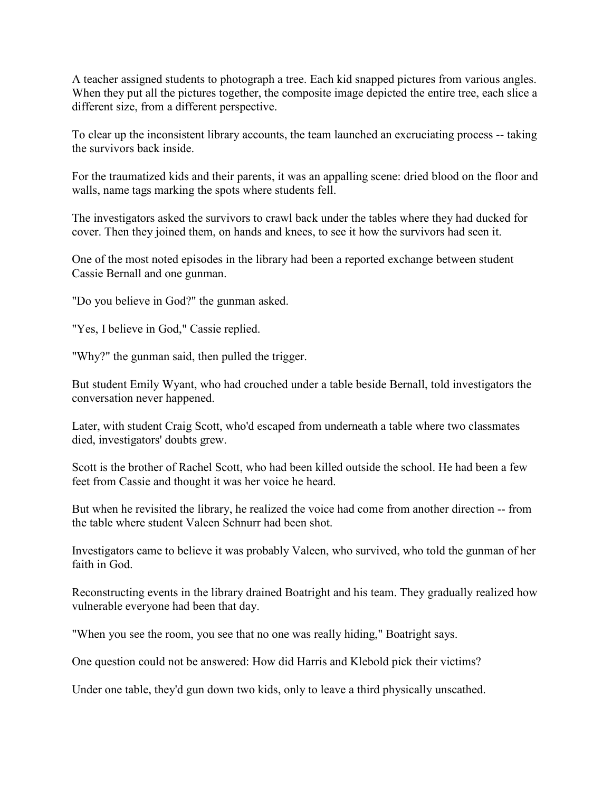A teacher assigned students to photograph a tree. Each kid snapped pictures from various angles. When they put all the pictures together, the composite image depicted the entire tree, each slice a different size, from a different perspective.

To clear up the inconsistent library accounts, the team launched an excruciating process -- taking the survivors back inside.

For the traumatized kids and their parents, it was an appalling scene: dried blood on the floor and walls, name tags marking the spots where students fell.

The investigators asked the survivors to crawl back under the tables where they had ducked for cover. Then they joined them, on hands and knees, to see it how the survivors had seen it.

One of the most noted episodes in the library had been a reported exchange between student Cassie Bernall and one gunman.

"Do you believe in God?" the gunman asked.

"Yes, I believe in God," Cassie replied.

"Why?" the gunman said, then pulled the trigger.

But student Emily Wyant, who had crouched under a table beside Bernall, told investigators the conversation never happened.

Later, with student Craig Scott, who'd escaped from underneath a table where two classmates died, investigators' doubts grew.

Scott is the brother of Rachel Scott, who had been killed outside the school. He had been a few feet from Cassie and thought it was her voice he heard.

But when he revisited the library, he realized the voice had come from another direction -- from the table where student Valeen Schnurr had been shot.

Investigators came to believe it was probably Valeen, who survived, who told the gunman of her faith in God.

Reconstructing events in the library drained Boatright and his team. They gradually realized how vulnerable everyone had been that day.

"When you see the room, you see that no one was really hiding," Boatright says.

One question could not be answered: How did Harris and Klebold pick their victims?

Under one table, they'd gun down two kids, only to leave a third physically unscathed.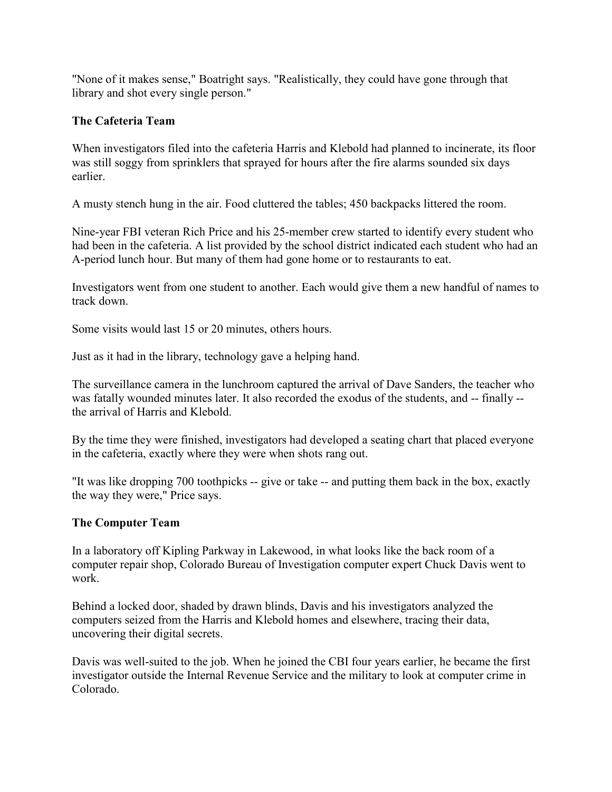"None of it makes sense," Boatright says. "Realistically, they could have gone through that library and shot every single person."

# **The Cafeteria Team**

When investigators filed into the cafeteria Harris and Klebold had planned to incinerate, its floor was still soggy from sprinklers that sprayed for hours after the fire alarms sounded six days earlier.

A musty stench hung in the air. Food cluttered the tables; 450 backpacks littered the room.

Nine-year FBI veteran Rich Price and his 25-member crew started to identify every student who had been in the cafeteria. A list provided by the school district indicated each student who had an A-period lunch hour. But many of them had gone home or to restaurants to eat.

Investigators went from one student to another. Each would give them a new handful of names to track down.

Some visits would last 15 or 20 minutes, others hours.

Just as it had in the library, technology gave a helping hand.

The surveillance camera in the lunchroom captured the arrival of Dave Sanders, the teacher who was fatally wounded minutes later. It also recorded the exodus of the students, and -- finally - the arrival of Harris and Klebold.

By the time they were finished, investigators had developed a seating chart that placed everyone in the cafeteria, exactly where they were when shots rang out.

"It was like dropping 700 toothpicks -- give or take -- and putting them back in the box, exactly the way they were," Price says.

# **The Computer Team**

In a laboratory off Kipling Parkway in Lakewood, in what looks like the back room of a computer repair shop, Colorado Bureau of Investigation computer expert Chuck Davis went to work.

Behind a locked door, shaded by drawn blinds, Davis and his investigators analyzed the computers seized from the Harris and Klebold homes and elsewhere, tracing their data, uncovering their digital secrets.

Davis was well-suited to the job. When he joined the CBI four years earlier, he became the first investigator outside the Internal Revenue Service and the military to look at computer crime in Colorado.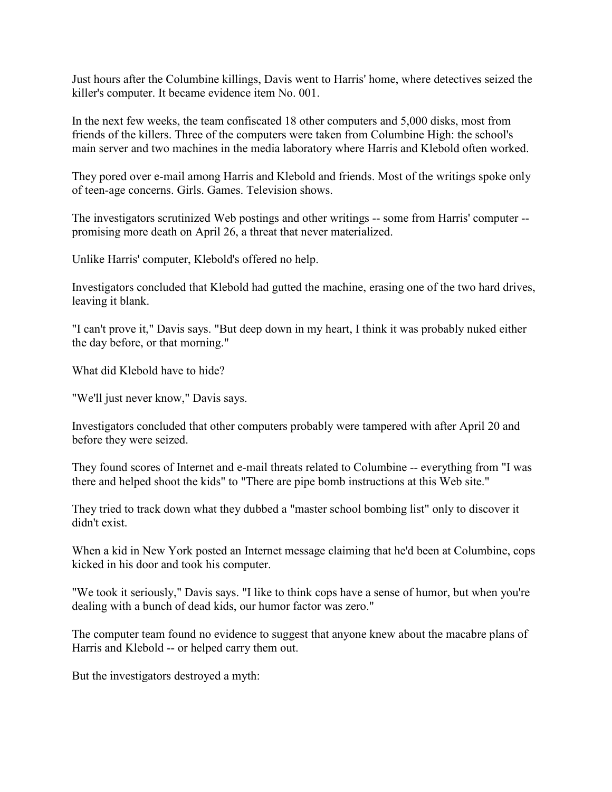Just hours after the Columbine killings, Davis went to Harris' home, where detectives seized the killer's computer. It became evidence item No. 001.

In the next few weeks, the team confiscated 18 other computers and 5,000 disks, most from friends of the killers. Three of the computers were taken from Columbine High: the school's main server and two machines in the media laboratory where Harris and Klebold often worked.

They pored over e-mail among Harris and Klebold and friends. Most of the writings spoke only of teen-age concerns. Girls. Games. Television shows.

The investigators scrutinized Web postings and other writings -- some from Harris' computer - promising more death on April 26, a threat that never materialized.

Unlike Harris' computer, Klebold's offered no help.

Investigators concluded that Klebold had gutted the machine, erasing one of the two hard drives, leaving it blank.

"I can't prove it," Davis says. "But deep down in my heart, I think it was probably nuked either the day before, or that morning."

What did Klebold have to hide?

"We'll just never know," Davis says.

Investigators concluded that other computers probably were tampered with after April 20 and before they were seized.

They found scores of Internet and e-mail threats related to Columbine -- everything from "I was there and helped shoot the kids" to "There are pipe bomb instructions at this Web site."

They tried to track down what they dubbed a "master school bombing list" only to discover it didn't exist.

When a kid in New York posted an Internet message claiming that he'd been at Columbine, cops kicked in his door and took his computer.

"We took it seriously," Davis says. "I like to think cops have a sense of humor, but when you're dealing with a bunch of dead kids, our humor factor was zero."

The computer team found no evidence to suggest that anyone knew about the macabre plans of Harris and Klebold -- or helped carry them out.

But the investigators destroyed a myth: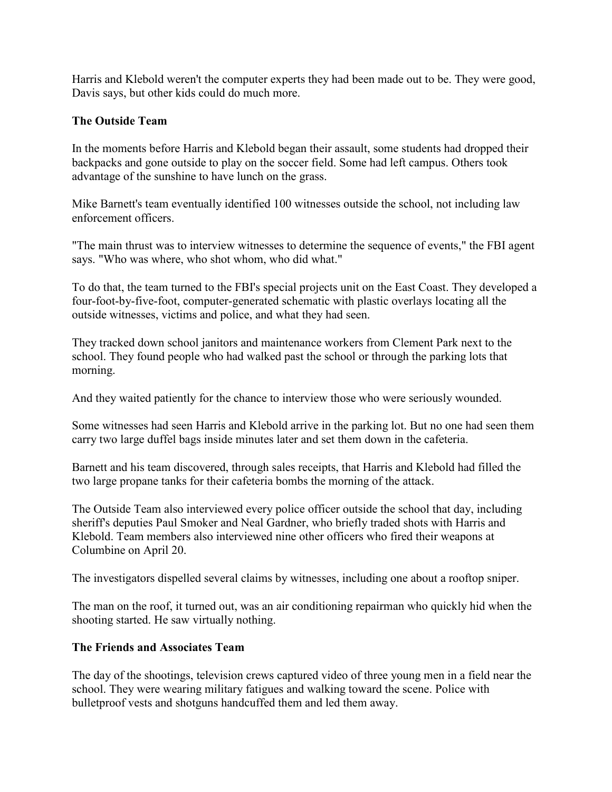Harris and Klebold weren't the computer experts they had been made out to be. They were good, Davis says, but other kids could do much more.

# **The Outside Team**

In the moments before Harris and Klebold began their assault, some students had dropped their backpacks and gone outside to play on the soccer field. Some had left campus. Others took advantage of the sunshine to have lunch on the grass.

Mike Barnett's team eventually identified 100 witnesses outside the school, not including law enforcement officers.

"The main thrust was to interview witnesses to determine the sequence of events," the FBI agent says. "Who was where, who shot whom, who did what."

To do that, the team turned to the FBI's special projects unit on the East Coast. They developed a four-foot-by-five-foot, computer-generated schematic with plastic overlays locating all the outside witnesses, victims and police, and what they had seen.

They tracked down school janitors and maintenance workers from Clement Park next to the school. They found people who had walked past the school or through the parking lots that morning.

And they waited patiently for the chance to interview those who were seriously wounded.

Some witnesses had seen Harris and Klebold arrive in the parking lot. But no one had seen them carry two large duffel bags inside minutes later and set them down in the cafeteria.

Barnett and his team discovered, through sales receipts, that Harris and Klebold had filled the two large propane tanks for their cafeteria bombs the morning of the attack.

The Outside Team also interviewed every police officer outside the school that day, including sheriff's deputies Paul Smoker and Neal Gardner, who briefly traded shots with Harris and Klebold. Team members also interviewed nine other officers who fired their weapons at Columbine on April 20.

The investigators dispelled several claims by witnesses, including one about a rooftop sniper.

The man on the roof, it turned out, was an air conditioning repairman who quickly hid when the shooting started. He saw virtually nothing.

# **The Friends and Associates Team**

The day of the shootings, television crews captured video of three young men in a field near the school. They were wearing military fatigues and walking toward the scene. Police with bulletproof vests and shotguns handcuffed them and led them away.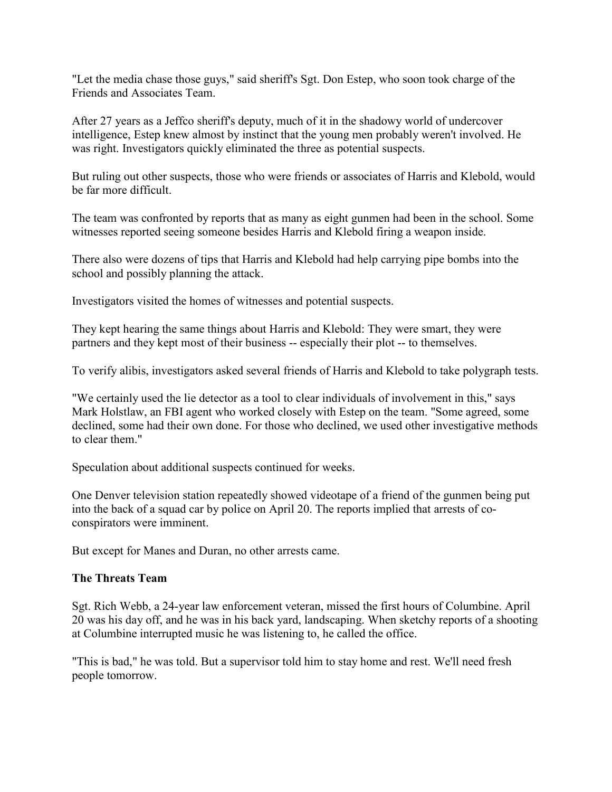"Let the media chase those guys," said sheriff's Sgt. Don Estep, who soon took charge of the Friends and Associates Team.

After 27 years as a Jeffco sheriff's deputy, much of it in the shadowy world of undercover intelligence, Estep knew almost by instinct that the young men probably weren't involved. He was right. Investigators quickly eliminated the three as potential suspects.

But ruling out other suspects, those who were friends or associates of Harris and Klebold, would be far more difficult.

The team was confronted by reports that as many as eight gunmen had been in the school. Some witnesses reported seeing someone besides Harris and Klebold firing a weapon inside.

There also were dozens of tips that Harris and Klebold had help carrying pipe bombs into the school and possibly planning the attack.

Investigators visited the homes of witnesses and potential suspects.

They kept hearing the same things about Harris and Klebold: They were smart, they were partners and they kept most of their business -- especially their plot -- to themselves.

To verify alibis, investigators asked several friends of Harris and Klebold to take polygraph tests.

"We certainly used the lie detector as a tool to clear individuals of involvement in this," says Mark Holstlaw, an FBI agent who worked closely with Estep on the team. "Some agreed, some declined, some had their own done. For those who declined, we used other investigative methods to clear them."

Speculation about additional suspects continued for weeks.

One Denver television station repeatedly showed videotape of a friend of the gunmen being put into the back of a squad car by police on April 20. The reports implied that arrests of coconspirators were imminent.

But except for Manes and Duran, no other arrests came.

### **The Threats Team**

Sgt. Rich Webb, a 24-year law enforcement veteran, missed the first hours of Columbine. April 20 was his day off, and he was in his back yard, landscaping. When sketchy reports of a shooting at Columbine interrupted music he was listening to, he called the office.

"This is bad," he was told. But a supervisor told him to stay home and rest. We'll need fresh people tomorrow.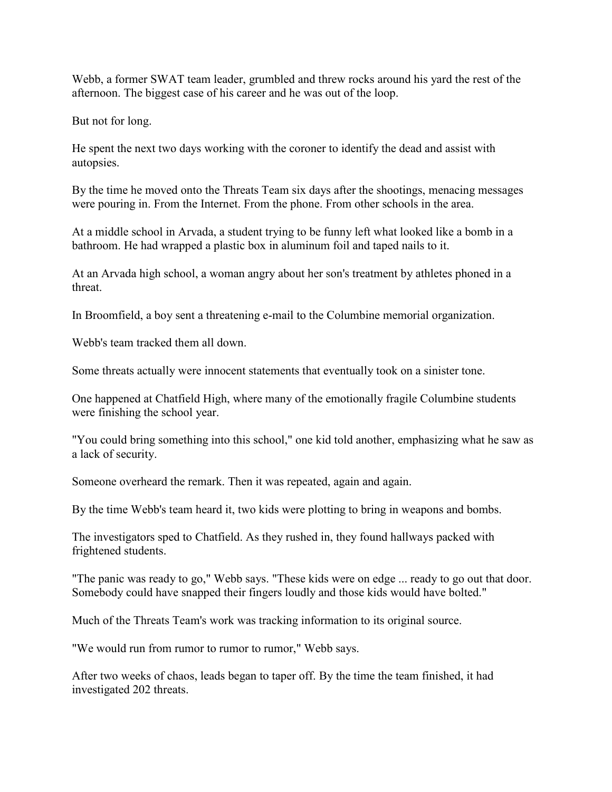Webb, a former SWAT team leader, grumbled and threw rocks around his yard the rest of the afternoon. The biggest case of his career and he was out of the loop.

But not for long.

He spent the next two days working with the coroner to identify the dead and assist with autopsies.

By the time he moved onto the Threats Team six days after the shootings, menacing messages were pouring in. From the Internet. From the phone. From other schools in the area.

At a middle school in Arvada, a student trying to be funny left what looked like a bomb in a bathroom. He had wrapped a plastic box in aluminum foil and taped nails to it.

At an Arvada high school, a woman angry about her son's treatment by athletes phoned in a threat.

In Broomfield, a boy sent a threatening e-mail to the Columbine memorial organization.

Webb's team tracked them all down.

Some threats actually were innocent statements that eventually took on a sinister tone.

One happened at Chatfield High, where many of the emotionally fragile Columbine students were finishing the school year.

"You could bring something into this school," one kid told another, emphasizing what he saw as a lack of security.

Someone overheard the remark. Then it was repeated, again and again.

By the time Webb's team heard it, two kids were plotting to bring in weapons and bombs.

The investigators sped to Chatfield. As they rushed in, they found hallways packed with frightened students.

"The panic was ready to go," Webb says. "These kids were on edge ... ready to go out that door. Somebody could have snapped their fingers loudly and those kids would have bolted."

Much of the Threats Team's work was tracking information to its original source.

"We would run from rumor to rumor to rumor," Webb says.

After two weeks of chaos, leads began to taper off. By the time the team finished, it had investigated 202 threats.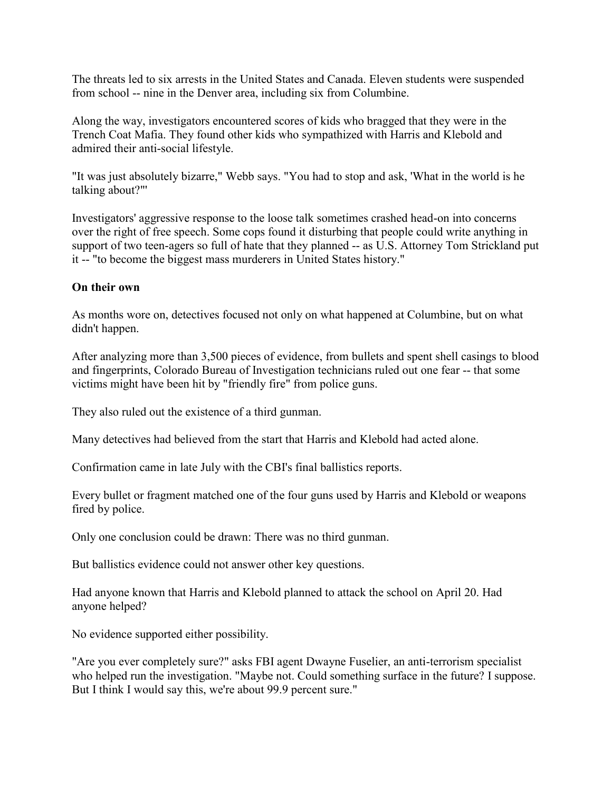The threats led to six arrests in the United States and Canada. Eleven students were suspended from school -- nine in the Denver area, including six from Columbine.

Along the way, investigators encountered scores of kids who bragged that they were in the Trench Coat Mafia. They found other kids who sympathized with Harris and Klebold and admired their anti-social lifestyle.

"It was just absolutely bizarre," Webb says. "You had to stop and ask, 'What in the world is he talking about?"'

Investigators' aggressive response to the loose talk sometimes crashed head-on into concerns over the right of free speech. Some cops found it disturbing that people could write anything in support of two teen-agers so full of hate that they planned -- as U.S. Attorney Tom Strickland put it -- "to become the biggest mass murderers in United States history."

### **On their own**

As months wore on, detectives focused not only on what happened at Columbine, but on what didn't happen.

After analyzing more than 3,500 pieces of evidence, from bullets and spent shell casings to blood and fingerprints, Colorado Bureau of Investigation technicians ruled out one fear -- that some victims might have been hit by "friendly fire" from police guns.

They also ruled out the existence of a third gunman.

Many detectives had believed from the start that Harris and Klebold had acted alone.

Confirmation came in late July with the CBI's final ballistics reports.

Every bullet or fragment matched one of the four guns used by Harris and Klebold or weapons fired by police.

Only one conclusion could be drawn: There was no third gunman.

But ballistics evidence could not answer other key questions.

Had anyone known that Harris and Klebold planned to attack the school on April 20. Had anyone helped?

No evidence supported either possibility.

"Are you ever completely sure?" asks FBI agent Dwayne Fuselier, an anti-terrorism specialist who helped run the investigation. "Maybe not. Could something surface in the future? I suppose. But I think I would say this, we're about 99.9 percent sure."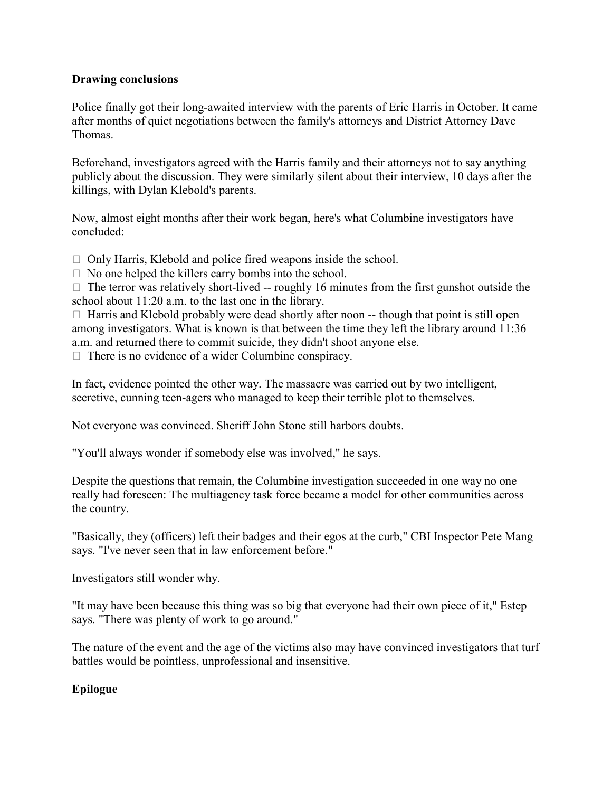### **Drawing conclusions**

Police finally got their long-awaited interview with the parents of Eric Harris in October. It came after months of quiet negotiations between the family's attorneys and District Attorney Dave Thomas.

Beforehand, investigators agreed with the Harris family and their attorneys not to say anything publicly about the discussion. They were similarly silent about their interview, 10 days after the killings, with Dylan Klebold's parents.

Now, almost eight months after their work began, here's what Columbine investigators have concluded:

 $\Box$  Only Harris, Klebold and police fired weapons inside the school.

 $\Box$  No one helped the killers carry bombs into the school.

 $\Box$  The terror was relatively short-lived -- roughly 16 minutes from the first gunshot outside the school about 11:20 a.m. to the last one in the library.

 $\Box$  Harris and Klebold probably were dead shortly after noon -- though that point is still open among investigators. What is known is that between the time they left the library around 11:36 a.m. and returned there to commit suicide, they didn't shoot anyone else.

 $\Box$  There is no evidence of a wider Columbine conspiracy.

In fact, evidence pointed the other way. The massacre was carried out by two intelligent, secretive, cunning teen-agers who managed to keep their terrible plot to themselves.

Not everyone was convinced. Sheriff John Stone still harbors doubts.

"You'll always wonder if somebody else was involved," he says.

Despite the questions that remain, the Columbine investigation succeeded in one way no one really had foreseen: The multiagency task force became a model for other communities across the country.

"Basically, they (officers) left their badges and their egos at the curb," CBI Inspector Pete Mang says. "I've never seen that in law enforcement before."

Investigators still wonder why.

"It may have been because this thing was so big that everyone had their own piece of it," Estep says. "There was plenty of work to go around."

The nature of the event and the age of the victims also may have convinced investigators that turf battles would be pointless, unprofessional and insensitive.

# **Epilogue**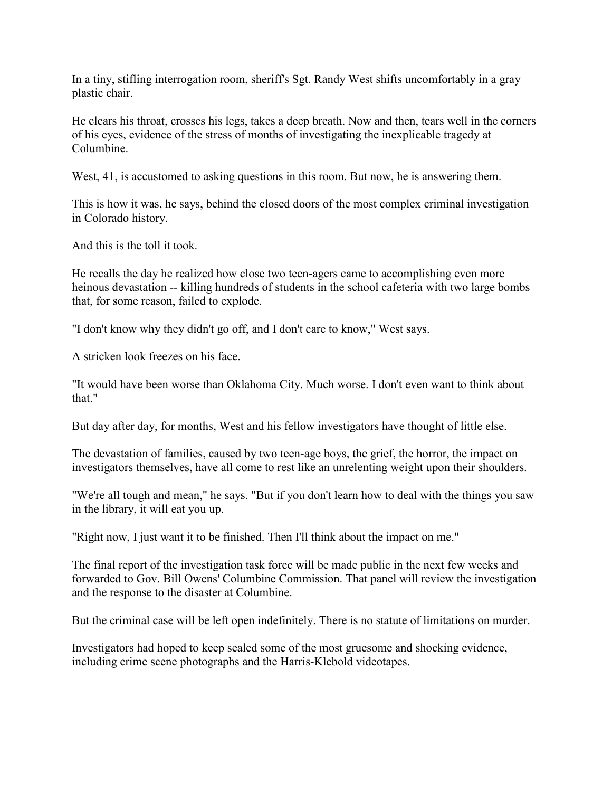In a tiny, stifling interrogation room, sheriff's Sgt. Randy West shifts uncomfortably in a gray plastic chair.

He clears his throat, crosses his legs, takes a deep breath. Now and then, tears well in the corners of his eyes, evidence of the stress of months of investigating the inexplicable tragedy at Columbine.

West, 41, is accustomed to asking questions in this room. But now, he is answering them.

This is how it was, he says, behind the closed doors of the most complex criminal investigation in Colorado history.

And this is the toll it took.

He recalls the day he realized how close two teen-agers came to accomplishing even more heinous devastation -- killing hundreds of students in the school cafeteria with two large bombs that, for some reason, failed to explode.

"I don't know why they didn't go off, and I don't care to know," West says.

A stricken look freezes on his face.

"It would have been worse than Oklahoma City. Much worse. I don't even want to think about that."

But day after day, for months, West and his fellow investigators have thought of little else.

The devastation of families, caused by two teen-age boys, the grief, the horror, the impact on investigators themselves, have all come to rest like an unrelenting weight upon their shoulders.

"We're all tough and mean," he says. "But if you don't learn how to deal with the things you saw in the library, it will eat you up.

"Right now, I just want it to be finished. Then I'll think about the impact on me."

The final report of the investigation task force will be made public in the next few weeks and forwarded to Gov. Bill Owens' Columbine Commission. That panel will review the investigation and the response to the disaster at Columbine.

But the criminal case will be left open indefinitely. There is no statute of limitations on murder.

Investigators had hoped to keep sealed some of the most gruesome and shocking evidence, including crime scene photographs and the Harris-Klebold videotapes.